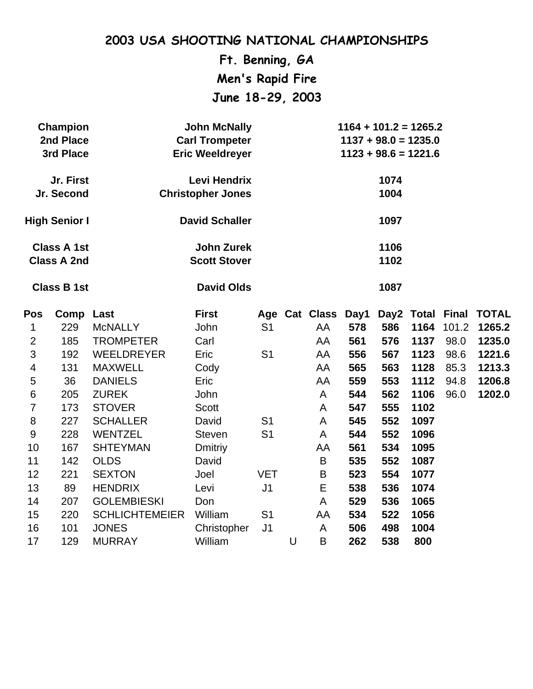**Ft. Benning, GA Men's Rapid Fire June 18-29, 2003**

|                | <b>Champion</b><br>2nd Place<br>3rd Place |                       | <b>John McNally</b><br><b>Carl Trompeter</b><br><b>Eric Weeldreyer</b> | $1164 + 101.2 = 1265.2$<br>$1137 + 98.0 = 1235.0$<br>$1123 + 98.6 = 1221.6$ |              |                    |     |      |      |                  |              |
|----------------|-------------------------------------------|-----------------------|------------------------------------------------------------------------|-----------------------------------------------------------------------------|--------------|--------------------|-----|------|------|------------------|--------------|
|                | Jr. First<br>Jr. Second                   |                       | <b>Levi Hendrix</b><br><b>Christopher Jones</b>                        |                                                                             | 1074<br>1004 |                    |     |      |      |                  |              |
|                | <b>High Senior I</b>                      |                       | <b>David Schaller</b>                                                  |                                                                             | 1097         |                    |     |      |      |                  |              |
|                | <b>Class A 1st</b><br><b>Class A 2nd</b>  |                       | <b>John Zurek</b><br><b>Scott Stover</b>                               |                                                                             | 1106<br>1102 |                    |     |      |      |                  |              |
|                | <b>Class B 1st</b>                        |                       | <b>David Olds</b>                                                      |                                                                             |              |                    |     | 1087 |      |                  |              |
| <b>Pos</b>     | Comp Last                                 |                       | <b>First</b>                                                           |                                                                             |              | Age Cat Class Day1 |     |      |      | Day2 Total Final | <b>TOTAL</b> |
| 1              | 229                                       | <b>McNALLY</b>        | John                                                                   | S <sub>1</sub>                                                              |              | AA                 | 578 | 586  | 1164 | 101.2            | 1265.2       |
| $\overline{2}$ | 185                                       | <b>TROMPETER</b>      | Carl                                                                   |                                                                             |              | AA                 | 561 | 576  | 1137 | 98.0             | 1235.0       |
| 3              | 192                                       | <b>WEELDREYER</b>     | Eric                                                                   | S <sub>1</sub>                                                              |              | AA                 | 556 | 567  | 1123 | 98.6             | 1221.6       |
| 4              | 131                                       | <b>MAXWELL</b>        | Cody                                                                   |                                                                             |              | AA                 | 565 | 563  | 1128 | 85.3             | 1213.3       |
| 5              | 36                                        | <b>DANIELS</b>        | Eric                                                                   |                                                                             |              | AA                 | 559 | 553  | 1112 | 94.8             | 1206.8       |
| $6\phantom{1}$ | 205                                       | <b>ZUREK</b>          | John                                                                   |                                                                             |              | A                  | 544 | 562  | 1106 | 96.0             | 1202.0       |
| $\overline{7}$ | 173                                       | <b>STOVER</b>         | <b>Scott</b>                                                           |                                                                             |              | A                  | 547 | 555  | 1102 |                  |              |
| 8              | 227                                       | <b>SCHALLER</b>       | David                                                                  | S <sub>1</sub>                                                              |              | A                  | 545 | 552  | 1097 |                  |              |
| 9              | 228                                       | <b>WENTZEL</b>        | <b>Steven</b>                                                          | S <sub>1</sub>                                                              |              | A                  | 544 | 552  | 1096 |                  |              |
| 10             | 167                                       | <b>SHTEYMAN</b>       | <b>Dmitriy</b>                                                         |                                                                             |              | AA                 | 561 | 534  | 1095 |                  |              |
| 11             | 142                                       | <b>OLDS</b>           | David                                                                  |                                                                             |              | $\sf B$            | 535 | 552  | 1087 |                  |              |
| 12             | 221                                       | <b>SEXTON</b>         | Joel                                                                   | <b>VET</b>                                                                  |              | B                  | 523 | 554  | 1077 |                  |              |
| 13             | 89                                        | <b>HENDRIX</b>        | Levi                                                                   | J <sub>1</sub>                                                              |              | E                  | 538 | 536  | 1074 |                  |              |
| 14             | 207                                       | <b>GOLEMBIESKI</b>    | Don                                                                    |                                                                             |              | A                  | 529 | 536  | 1065 |                  |              |
| 15             | 220                                       | <b>SCHLICHTEMEIER</b> | William                                                                | S <sub>1</sub>                                                              |              | AA                 | 534 | 522  | 1056 |                  |              |
| 16             | 101                                       | <b>JONES</b>          | Christopher                                                            | J <sub>1</sub>                                                              |              | A                  | 506 | 498  | 1004 |                  |              |
| 17             | 129                                       | <b>MURRAY</b>         | William                                                                |                                                                             | U            | B                  | 262 | 538  | 800  |                  |              |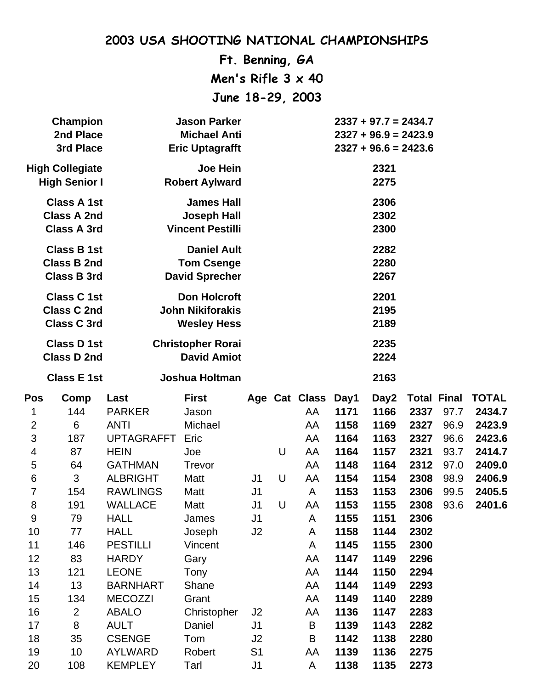**Ft. Benning, GA Men's Rifle 3 x 40 June 18-29, 2003**

|                                                                                           | Champion<br>2nd Place<br>3rd Place             |                                                | <b>Jason Parker</b><br><b>Michael Anti</b><br><b>Eric Uptagrafft</b> |                |   |                    |              | $2337 + 97.7 = 2434.7$<br>$2327 + 96.9 = 2423.9$<br>$2327 + 96.6 = 2423.6$ |              |                    |                  |
|-------------------------------------------------------------------------------------------|------------------------------------------------|------------------------------------------------|----------------------------------------------------------------------|----------------|---|--------------------|--------------|----------------------------------------------------------------------------|--------------|--------------------|------------------|
|                                                                                           | <b>High Collegiate</b><br><b>High Senior I</b> |                                                | <b>Joe Hein</b><br><b>Robert Aylward</b>                             |                |   |                    |              | 2321<br>2275                                                               |              |                    |                  |
| <b>Class A 1st</b><br><b>Class A 2nd</b><br><b>Class A 3rd</b><br><b>Vincent Pestilli</b> |                                                |                                                | <b>James Hall</b><br><b>Joseph Hall</b>                              |                |   |                    |              | 2306<br>2302<br>2300                                                       |              |                    |                  |
| <b>Class B 1st</b><br><b>Class B 2nd</b><br><b>Class B 3rd</b>                            |                                                |                                                | <b>Daniel Ault</b><br><b>Tom Csenge</b><br><b>David Sprecher</b>     |                |   |                    |              | 2282<br>2280<br>2267                                                       |              |                    |                  |
| <b>Class C 1st</b><br><b>Class C 2nd</b><br><b>Class C 3rd</b>                            |                                                |                                                | <b>Don Holcroft</b><br><b>John Nikiforakis</b><br><b>Wesley Hess</b> |                |   |                    |              | 2201<br>2195<br>2189                                                       |              |                    |                  |
| <b>Class D 1st</b><br><b>Class D 2nd</b>                                                  |                                                | <b>Christopher Rorai</b><br><b>David Amiot</b> |                                                                      |                |   |                    |              | 2235<br>2224                                                               |              |                    |                  |
|                                                                                           | <b>Class E 1st</b>                             |                                                | Joshua Holtman                                                       |                |   |                    |              | 2163                                                                       |              |                    |                  |
| <b>Pos</b>                                                                                | Comp                                           | Last                                           | <b>First</b>                                                         |                |   | Age Cat Class Day1 |              | Day2                                                                       |              | <b>Total Final</b> | <b>TOTAL</b>     |
| 1                                                                                         | 144                                            | <b>PARKER</b>                                  | Jason                                                                |                |   | AA                 | 1171         | 1166                                                                       | 2337         | 97.7               | 2434.7           |
| $\overline{2}$                                                                            | 6                                              | <b>ANTI</b>                                    | Michael                                                              |                |   | AA                 | 1158         | 1169                                                                       | 2327         | 96.9               | 2423.9           |
| 3                                                                                         | 187                                            | <b>UPTAGRAFFT</b>                              | Eric                                                                 |                |   | AA                 | 1164         | 1163                                                                       | 2327         | 96.6               | 2423.6           |
| $\overline{\mathcal{A}}$                                                                  | 87                                             | <b>HEIN</b><br><b>GATHMAN</b>                  | Joe<br>Trevor                                                        |                | U | AA<br>AA           | 1164<br>1148 | 1157<br>1164                                                               | 2321<br>2312 | 93.7<br>97.0       | 2414.7<br>2409.0 |
| 5<br>6                                                                                    | 64<br>3                                        | <b>ALBRIGHT</b>                                | Matt                                                                 | J1             | U | AA                 | 1154         | 1154                                                                       | 2308         | 98.9               | 2406.9           |
| 7                                                                                         | 154                                            | <b>RAWLINGS</b>                                | Matt                                                                 | J <sub>1</sub> |   | A                  | 1153         | 1153                                                                       | 2306         | 99.5               | 2405.5           |
| 8                                                                                         | 191                                            | <b>WALLACE</b>                                 | Matt                                                                 | J1             | U | AA                 | 1153         | 1155                                                                       | 2308         | 93.6               | 2401.6           |
| 9                                                                                         | 79                                             | <b>HALL</b>                                    | James                                                                | J1             |   | A                  | 1155         | 1151                                                                       | 2306         |                    |                  |
| 10                                                                                        | 77                                             | <b>HALL</b>                                    | Joseph                                                               | J2             |   | A                  | 1158         | 1144                                                                       | 2302         |                    |                  |
| 11                                                                                        | 146                                            | <b>PESTILLI</b>                                | Vincent                                                              |                |   | A                  | 1145         | 1155                                                                       | 2300         |                    |                  |
| 12                                                                                        | 83                                             | <b>HARDY</b>                                   | Gary                                                                 |                |   | AA                 | 1147         | 1149                                                                       | 2296         |                    |                  |
| 13                                                                                        | 121                                            | <b>LEONE</b>                                   | Tony                                                                 |                |   | AA                 | 1144         | 1150                                                                       | 2294         |                    |                  |
| 14                                                                                        | 13                                             | <b>BARNHART</b>                                | Shane                                                                |                |   | AA                 | 1144         | 1149                                                                       | 2293         |                    |                  |
| 15                                                                                        | 134                                            | <b>MECOZZI</b>                                 | Grant                                                                |                |   | AA                 | 1149         | 1140                                                                       | 2289         |                    |                  |
| 16                                                                                        | $\overline{2}$                                 | <b>ABALO</b>                                   | Christopher                                                          | J <sub>2</sub> |   | AA                 | 1136         | 1147                                                                       | 2283         |                    |                  |
| 17                                                                                        | 8                                              | <b>AULT</b>                                    | Daniel                                                               | J <sub>1</sub> |   | B                  | 1139         | 1143                                                                       | 2282         |                    |                  |
| 18                                                                                        | 35                                             | <b>CSENGE</b>                                  | Tom                                                                  | J2             |   | B                  | 1142         | 1138                                                                       | 2280         |                    |                  |
| 19                                                                                        | 10                                             | <b>AYLWARD</b>                                 | Robert                                                               | S <sub>1</sub> |   | AA                 | 1139         | 1136                                                                       | 2275         |                    |                  |
| 20                                                                                        | 108                                            | <b>KEMPLEY</b>                                 | Tarl                                                                 | J1             |   | A                  | 1138         | 1135                                                                       | 2273         |                    |                  |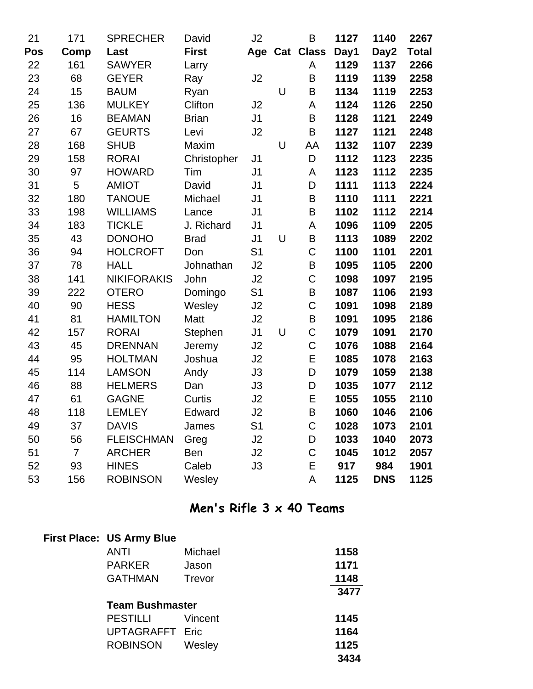| 21  | 171            | <b>SPRECHER</b>    | David        | J2             |        | B              | 1127 | 1140       | 2267         |
|-----|----------------|--------------------|--------------|----------------|--------|----------------|------|------------|--------------|
| Pos | Comp           | Last               | <b>First</b> |                |        | Age Cat Class  | Day1 | Day2       | <b>Total</b> |
| 22  | 161            | <b>SAWYER</b>      | Larry        |                |        | A              | 1129 | 1137       | 2266         |
| 23  | 68             | <b>GEYER</b>       | Ray          | J2             |        | B              | 1119 | 1139       | 2258         |
| 24  | 15             | <b>BAUM</b>        | Ryan         |                | $\cup$ | B              | 1134 | 1119       | 2253         |
| 25  | 136            | <b>MULKEY</b>      | Clifton      | J2             |        | A              | 1124 | 1126       | 2250         |
| 26  | 16             | <b>BEAMAN</b>      | <b>Brian</b> | J <sub>1</sub> |        | B              | 1128 | 1121       | 2249         |
| 27  | 67             | <b>GEURTS</b>      | Levi         | J2             |        | B              | 1127 | 1121       | 2248         |
| 28  | 168            | <b>SHUB</b>        | Maxim        |                | U      | AA             | 1132 | 1107       | 2239         |
| 29  | 158            | <b>RORAI</b>       | Christopher  | J <sub>1</sub> |        | D              | 1112 | 1123       | 2235         |
| 30  | 97             | <b>HOWARD</b>      | Tim          | J <sub>1</sub> |        | A              | 1123 | 1112       | 2235         |
| 31  | 5              | <b>AMIOT</b>       | David        | J <sub>1</sub> |        | D              | 1111 | 1113       | 2224         |
| 32  | 180            | <b>TANOUE</b>      | Michael      | J <sub>1</sub> |        | B              | 1110 | 1111       | 2221         |
| 33  | 198            | <b>WILLIAMS</b>    | Lance        | J <sub>1</sub> |        | $\sf B$        | 1102 | 1112       | 2214         |
| 34  | 183            | <b>TICKLE</b>      | J. Richard   | J <sub>1</sub> |        | A              | 1096 | 1109       | 2205         |
| 35  | 43             | <b>DONOHO</b>      | <b>Brad</b>  | J <sub>1</sub> | $\cup$ | B              | 1113 | 1089       | 2202         |
| 36  | 94             | <b>HOLCROFT</b>    | Don          | S <sub>1</sub> |        | C              | 1100 | 1101       | 2201         |
| 37  | 78             | <b>HALL</b>        | Johnathan    | J2             |        | B              | 1095 | 1105       | 2200         |
| 38  | 141            | <b>NIKIFORAKIS</b> | John         | J2             |        | C              | 1098 | 1097       | 2195         |
| 39  | 222            | <b>OTERO</b>       | Domingo      | S <sub>1</sub> |        | B              | 1087 | 1106       | 2193         |
| 40  | 90             | <b>HESS</b>        | Wesley       | J2             |        | C              | 1091 | 1098       | 2189         |
| 41  | 81             | <b>HAMILTON</b>    | Matt         | J2             |        | B              | 1091 | 1095       | 2186         |
| 42  | 157            | <b>RORAI</b>       | Stephen      | J <sub>1</sub> | $\cup$ | C              | 1079 | 1091       | 2170         |
| 43  | 45             | <b>DRENNAN</b>     | Jeremy       | J2             |        | $\mathsf C$    | 1076 | 1088       | 2164         |
| 44  | 95             | <b>HOLTMAN</b>     | Joshua       | J2             |        | E              | 1085 | 1078       | 2163         |
| 45  | 114            | <b>LAMSON</b>      | Andy         | J3             |        | D              | 1079 | 1059       | 2138         |
| 46  | 88             | <b>HELMERS</b>     | Dan          | J3             |        | D              | 1035 | 1077       | 2112         |
| 47  | 61             | <b>GAGNE</b>       | Curtis       | J2             |        | E              | 1055 | 1055       | 2110         |
| 48  | 118            | <b>LEMLEY</b>      | Edward       | J2             |        | B              | 1060 | 1046       | 2106         |
| 49  | 37             | <b>DAVIS</b>       | James        | S <sub>1</sub> |        | $\overline{C}$ | 1028 | 1073       | 2101         |
| 50  | 56             | <b>FLEISCHMAN</b>  | Greg         | J2             |        | D              | 1033 | 1040       | 2073         |
| 51  | $\overline{7}$ | <b>ARCHER</b>      | Ben          | J2             |        | C              | 1045 | 1012       | 2057         |
| 52  | 93             | <b>HINES</b>       | Caleb        | J3             |        | E              | 917  | 984        | 1901         |
| 53  | 156            | <b>ROBINSON</b>    | Wesley       |                |        | A              | 1125 | <b>DNS</b> | 1125         |

### **Men's Rifle 3 x 40 Teams**

| <b>First Place: US Army Blue</b> |               |      |      |
|----------------------------------|---------------|------|------|
| <b>ANTI</b>                      | Michael       |      | 1158 |
| <b>PARKER</b>                    | Jason         | 1171 |      |
| <b>GATHMAN</b>                   | <b>Trevor</b> |      | 1148 |
|                                  |               |      | 3477 |
| <b>Team Bushmaster</b>           |               |      |      |
| <b>PESTILLI</b>                  | Vincent       |      | 1145 |
| <b>UPTAGRAFFT Eric</b>           |               |      | 1164 |
| <b>ROBINSON</b>                  | Wesley        |      | 1125 |
|                                  |               |      | 3434 |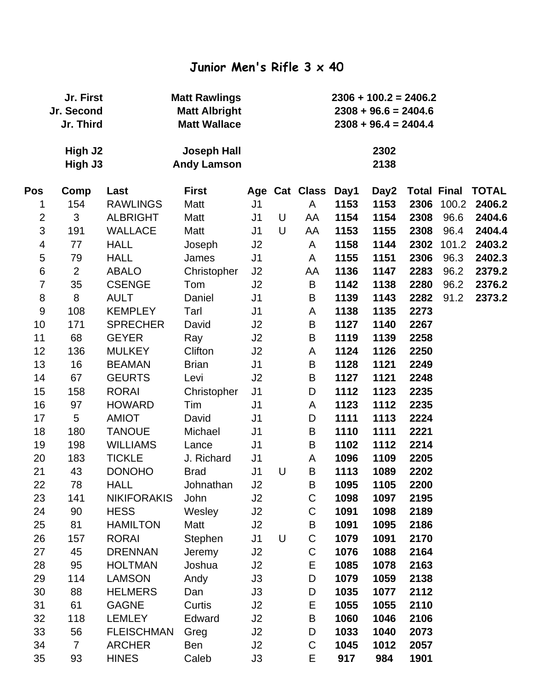#### **Junior Men's Rifle 3 x 40**

|                  | Jr. First<br>Jr. Second<br>Jr. Third |                    | <b>Matt Rawlings</b><br><b>Matt Albright</b><br><b>Matt Wallace</b> |                |   |               |      | $2306 + 100.2 = 2406.2$<br>$2308 + 96.6 = 2404.6$<br>$2308 + 96.4 = 2404.4$ |      |                    |              |
|------------------|--------------------------------------|--------------------|---------------------------------------------------------------------|----------------|---|---------------|------|-----------------------------------------------------------------------------|------|--------------------|--------------|
|                  | High J <sub>2</sub><br>High J3       |                    | <b>Joseph Hall</b><br><b>Andy Lamson</b>                            |                |   |               |      | 2302<br>2138                                                                |      |                    |              |
| Pos              | Comp                                 | Last               | <b>First</b>                                                        |                |   | Age Cat Class | Day1 | Day2                                                                        |      | <b>Total Final</b> | <b>TOTAL</b> |
| 1                | 154                                  | <b>RAWLINGS</b>    | Matt                                                                | J <sub>1</sub> |   | A             | 1153 | 1153                                                                        | 2306 | 100.2              | 2406.2       |
| $\overline{2}$   | 3                                    | <b>ALBRIGHT</b>    | Matt                                                                | J <sub>1</sub> | U | AA            | 1154 | 1154                                                                        | 2308 | 96.6               | 2404.6       |
| $\mathfrak{S}$   | 191                                  | <b>WALLACE</b>     | Matt                                                                | J <sub>1</sub> | U | AA            | 1153 | 1155                                                                        | 2308 | 96.4               | 2404.4       |
| 4                | 77                                   | <b>HALL</b>        | Joseph                                                              | J <sub>2</sub> |   | A             | 1158 | 1144                                                                        | 2302 | 101.2              | 2403.2       |
| 5                | 79                                   | <b>HALL</b>        | James                                                               | J <sub>1</sub> |   | A             | 1155 | 1151                                                                        | 2306 | 96.3               | 2402.3       |
| $\,6$            | $\overline{2}$                       | <b>ABALO</b>       | Christopher                                                         | J2             |   | AA            | 1136 | 1147                                                                        | 2283 | 96.2               | 2379.2       |
| $\overline{7}$   | 35                                   | <b>CSENGE</b>      | Tom                                                                 | J2             |   | B             | 1142 | 1138                                                                        | 2280 | 96.2               | 2376.2       |
| 8                | 8                                    | <b>AULT</b>        | Daniel                                                              | J <sub>1</sub> |   | B             | 1139 | 1143                                                                        | 2282 | 91.2               | 2373.2       |
| $\boldsymbol{9}$ | 108                                  | <b>KEMPLEY</b>     | Tarl                                                                | J <sub>1</sub> |   | A             | 1138 | 1135                                                                        | 2273 |                    |              |
| 10               | 171                                  | <b>SPRECHER</b>    | David                                                               | J2             |   | B             | 1127 | 1140                                                                        | 2267 |                    |              |
| 11               | 68                                   | <b>GEYER</b>       | Ray                                                                 | J2             |   | B             | 1119 | 1139                                                                        | 2258 |                    |              |
| 12               | 136                                  | <b>MULKEY</b>      | Clifton                                                             | J2             |   | A             | 1124 | 1126                                                                        | 2250 |                    |              |
| 13               | 16                                   | <b>BEAMAN</b>      | <b>Brian</b>                                                        | J <sub>1</sub> |   | B             | 1128 | 1121                                                                        | 2249 |                    |              |
| 14               | 67                                   | <b>GEURTS</b>      | Levi                                                                | J2             |   | B             | 1127 | 1121                                                                        | 2248 |                    |              |
| 15               | 158                                  | <b>RORAI</b>       | Christopher                                                         | J <sub>1</sub> |   | D             | 1112 | 1123                                                                        | 2235 |                    |              |
| 16               | 97                                   | <b>HOWARD</b>      | Tim                                                                 | J <sub>1</sub> |   | A             | 1123 | 1112                                                                        | 2235 |                    |              |
| 17               | 5                                    | <b>AMIOT</b>       | David                                                               | J <sub>1</sub> |   | D             | 1111 | 1113                                                                        | 2224 |                    |              |
| 18               | 180                                  | <b>TANOUE</b>      | Michael                                                             | J <sub>1</sub> |   | B             | 1110 | 1111                                                                        | 2221 |                    |              |
| 19               | 198                                  | <b>WILLIAMS</b>    | Lance                                                               | J <sub>1</sub> |   | B             | 1102 | 1112                                                                        | 2214 |                    |              |
| 20               | 183                                  | <b>TICKLE</b>      | J. Richard                                                          | J <sub>1</sub> |   | A             | 1096 | 1109                                                                        | 2205 |                    |              |
| 21               | 43                                   | <b>DONOHO</b>      | <b>Brad</b>                                                         | J <sub>1</sub> | U | B             | 1113 | 1089                                                                        | 2202 |                    |              |
| 22               | 78                                   | <b>HALL</b>        | Johnathan                                                           | J2             |   | B             | 1095 | 1105                                                                        | 2200 |                    |              |
| 23               | 141                                  | <b>NIKIFORAKIS</b> | John                                                                | J2             |   | C             | 1098 | 1097                                                                        | 2195 |                    |              |
| 24               | 90                                   | <b>HESS</b>        | Wesley                                                              | J2             |   | C             | 1091 | 1098                                                                        | 2189 |                    |              |
| 25               | 81                                   | <b>HAMILTON</b>    | Matt                                                                | J2             |   | B             | 1091 | 1095                                                                        | 2186 |                    |              |
| 26               | 157                                  | <b>RORAI</b>       | Stephen                                                             | J <sub>1</sub> | U | C             | 1079 | 1091                                                                        | 2170 |                    |              |
| 27               | 45                                   | <b>DRENNAN</b>     | Jeremy                                                              | J2             |   | C             | 1076 | 1088                                                                        | 2164 |                    |              |
| 28               | 95                                   | <b>HOLTMAN</b>     | Joshua                                                              | J2             |   | E             | 1085 | 1078                                                                        | 2163 |                    |              |
| 29               | 114                                  | <b>LAMSON</b>      | Andy                                                                | J3             |   | D             | 1079 | 1059                                                                        | 2138 |                    |              |
| 30               | 88                                   | <b>HELMERS</b>     | Dan                                                                 | J3             |   | D             | 1035 | 1077                                                                        | 2112 |                    |              |
| 31               | 61                                   | <b>GAGNE</b>       | Curtis                                                              | J2             |   | Ε             | 1055 | 1055                                                                        | 2110 |                    |              |
| 32               | 118                                  | <b>LEMLEY</b>      | Edward                                                              | J2             |   | B             | 1060 | 1046                                                                        | 2106 |                    |              |
| 33               | 56                                   | <b>FLEISCHMAN</b>  | Greg                                                                | J <sub>2</sub> |   | D             | 1033 | 1040                                                                        | 2073 |                    |              |
| 34               | $\overline{7}$                       | <b>ARCHER</b>      | Ben                                                                 | J2             |   | C             | 1045 | 1012                                                                        | 2057 |                    |              |
| 35               | 93                                   | <b>HINES</b>       | Caleb                                                               | J3             |   | E             | 917  | 984                                                                         | 1901 |                    |              |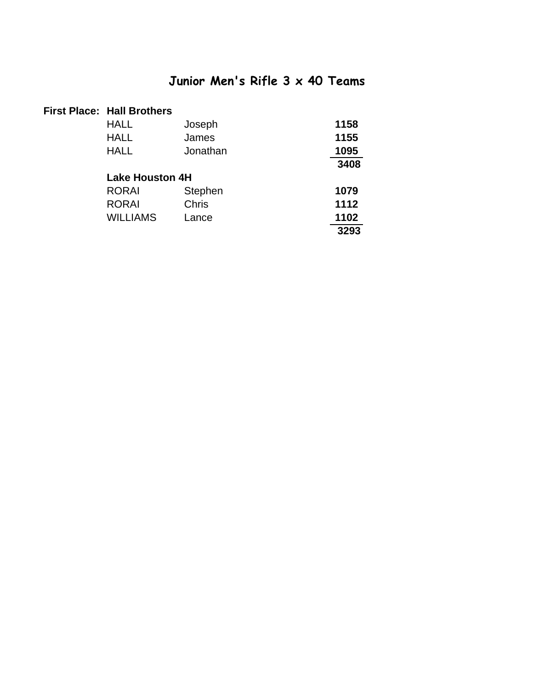### **Junior Men's Rifle 3 x 40 Teams**

#### **First Place: Hall Brothers**

| HALL                   | Joseph         | 1158 |
|------------------------|----------------|------|
| HALL                   | James          | 1155 |
| <b>HALL</b>            | Jonathan       | 1095 |
|                        |                | 3408 |
| <b>Lake Houston 4H</b> |                |      |
| <b>RORAI</b>           | <b>Stephen</b> | 1079 |
| <b>RORAI</b>           | Chris          | 1112 |
| <b>WILLIAMS</b>        | Lance          | 1102 |
|                        |                | 3293 |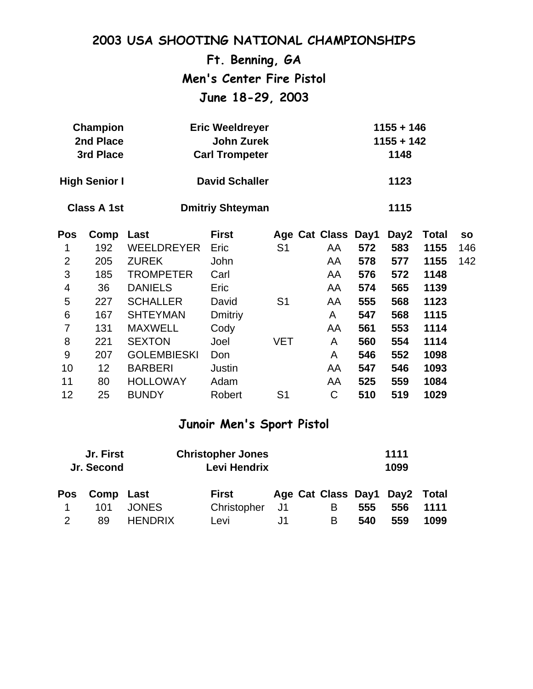|                | 2003 USA SHOOTING NATIONAL CHAMPIONSHIPS |                       |                          |                |                    |     |              |              |           |  |  |
|----------------|------------------------------------------|-----------------------|--------------------------|----------------|--------------------|-----|--------------|--------------|-----------|--|--|
|                |                                          |                       | Ft. Benning, GA          |                |                    |     |              |              |           |  |  |
|                |                                          |                       | Men's Center Fire Pistol |                |                    |     |              |              |           |  |  |
|                |                                          |                       | June 18-29, 2003         |                |                    |     |              |              |           |  |  |
|                |                                          |                       |                          |                |                    |     |              |              |           |  |  |
|                | Champion                                 |                       | <b>Eric Weeldreyer</b>   |                |                    |     | $1155 + 146$ |              |           |  |  |
| 2nd Place      |                                          |                       | <b>John Zurek</b>        |                |                    |     | $1155 + 142$ |              |           |  |  |
|                | 3rd Place                                | <b>Carl Trompeter</b> |                          |                | 1148               |     |              |              |           |  |  |
|                |                                          |                       | <b>David Schaller</b>    |                |                    |     | 1123         |              |           |  |  |
|                | <b>High Senior I</b>                     |                       |                          |                |                    |     |              |              |           |  |  |
|                | <b>Class A 1st</b>                       |                       | <b>Dmitriy Shteyman</b>  |                |                    |     | 1115         |              |           |  |  |
| Pos            | Comp                                     | Last                  | <b>First</b>             |                | Age Cat Class Day1 |     | Day2         | <b>Total</b> | <b>SO</b> |  |  |
| 1              | 192                                      | <b>WEELDREYER</b>     | Eric                     | S <sub>1</sub> | AA                 | 572 | 583          | 1155         | 146       |  |  |
| $\overline{2}$ | 205                                      | <b>ZUREK</b>          | John                     |                | AA                 | 578 | 577          | 1155         | 142       |  |  |
| 3              | 185                                      | <b>TROMPETER</b>      | Carl                     |                | AA                 | 576 | 572          | 1148         |           |  |  |
| 4              | 36                                       | <b>DANIELS</b>        | Eric                     |                | AA                 | 574 | 565          | 1139         |           |  |  |
| 5              | 227                                      | <b>SCHALLER</b>       | David                    | S <sub>1</sub> | AA                 | 555 | 568          | 1123         |           |  |  |
| 6              | 167                                      | <b>SHTEYMAN</b>       | <b>Dmitriy</b>           |                | A                  | 547 | 568          | 1115         |           |  |  |
| $\overline{7}$ | 131                                      | <b>MAXWELL</b>        | Cody                     |                | AA                 | 561 | 553          | 1114         |           |  |  |
| 8              | 221                                      | <b>SEXTON</b>         | Joel                     | <b>VET</b>     | A                  | 560 | 554          | 1114         |           |  |  |
| 9              | 207                                      | <b>GOLEMBIESKI</b>    | Don                      |                | A                  | 546 | 552          | 1098         |           |  |  |
| 10             | 12                                       | <b>BARBERI</b>        | Justin                   |                | AA                 | 547 | 546          | 1093         |           |  |  |
| 11             | 80                                       | <b>HOLLOWAY</b>       | Adam                     |                | AA                 | 525 | 559          | 1084         |           |  |  |
| 12             | 25                                       | <b>BUNDY</b>          | Robert                   | S <sub>1</sub> | $\mathsf C$        | 510 | 519          | 1029         |           |  |  |

## **Junoir Men's Sport Pistol**

| Jr. First<br>Jr. Second |           |                | <b>Christopher Jones</b><br>Levi Hendrix |     |                               | 1111<br>1099 |     |      |  |  |
|-------------------------|-----------|----------------|------------------------------------------|-----|-------------------------------|--------------|-----|------|--|--|
| Pos                     | Comp Last |                | First                                    |     | Age Cat Class Day1 Day2 Total |              |     |      |  |  |
|                         | 101       | <b>JONES</b>   | Christopher                              | -J1 | B                             | 555          | 556 | 1111 |  |  |
| $\mathcal{P}$           | 89        | <b>HENDRIX</b> | Levi                                     | J1. | B.                            | 540          | 559 | 1099 |  |  |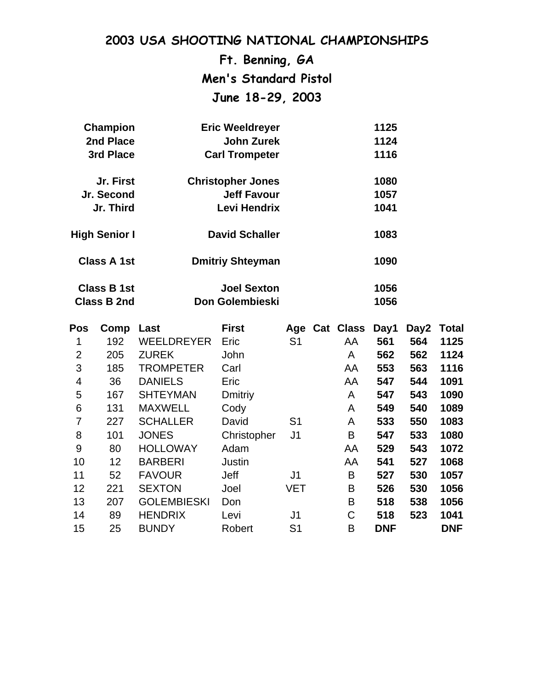**Ft. Benning, GA Men's Standard Pistol June 18-29, 2003**

| <b>Champion</b>      | <b>Eric Weeldreyer</b>   | 1125 |
|----------------------|--------------------------|------|
| 2nd Place            | <b>John Zurek</b>        | 1124 |
| 3rd Place            | <b>Carl Trompeter</b>    | 1116 |
| Jr. First            | <b>Christopher Jones</b> | 1080 |
| Jr. Second           | <b>Jeff Favour</b>       | 1057 |
| Jr. Third            | Levi Hendrix             | 1041 |
| <b>High Senior I</b> | <b>David Schaller</b>    | 1083 |
| <b>Class A 1st</b>   | <b>Dmitriy Shteyman</b>  | 1090 |
| <b>Class B 1st</b>   | <b>Joel Sexton</b>       | 1056 |
| <b>Class B 2nd</b>   | Don Golembieski          | 1056 |

| <b>Pos</b>     | Comp | Last               | <b>First</b>   |                | Age Cat Class | Day1       | Day2 | Total      |
|----------------|------|--------------------|----------------|----------------|---------------|------------|------|------------|
| 1              | 192  | <b>WEELDREYER</b>  | Eric           | S <sub>1</sub> | AA            | 561        | 564  | 1125       |
| $\overline{2}$ | 205  | <b>ZUREK</b>       | John           |                | A             | 562        | 562  | 1124       |
| 3              | 185  | <b>TROMPETER</b>   | Carl           |                | AA            | 553        | 563  | 1116       |
| 4              | 36   | <b>DANIELS</b>     | Eric           |                | AA            | 547        | 544  | 1091       |
| 5              | 167  | <b>SHTEYMAN</b>    | <b>Dmitriy</b> |                | A             | 547        | 543  | 1090       |
| 6              | 131  | <b>MAXWELL</b>     | Cody           |                | A             | 549        | 540  | 1089       |
| 7              | 227  | <b>SCHALLER</b>    | David          | S <sub>1</sub> | A             | 533        | 550  | 1083       |
| 8              | 101  | <b>JONES</b>       | Christopher    | J <sub>1</sub> | Β             | 547        | 533  | 1080       |
| 9              | 80   | <b>HOLLOWAY</b>    | Adam           |                | AA            | 529        | 543  | 1072       |
| 10             | 12   | <b>BARBERI</b>     | Justin         |                | AA            | 541        | 527  | 1068       |
| 11             | 52   | <b>FAVOUR</b>      | <b>Jeff</b>    | J <sub>1</sub> | B             | 527        | 530  | 1057       |
| 12             | 221  | <b>SEXTON</b>      | Joel           | <b>VET</b>     | B             | 526        | 530  | 1056       |
| 13             | 207  | <b>GOLEMBIESKI</b> | Don            |                | B             | 518        | 538  | 1056       |
| 14             | 89   | <b>HENDRIX</b>     | Levi           | J <sub>1</sub> | C             | 518        | 523  | 1041       |
| 15             | 25   | <b>BUNDY</b>       | Robert         | S <sub>1</sub> | B             | <b>DNF</b> |      | <b>DNF</b> |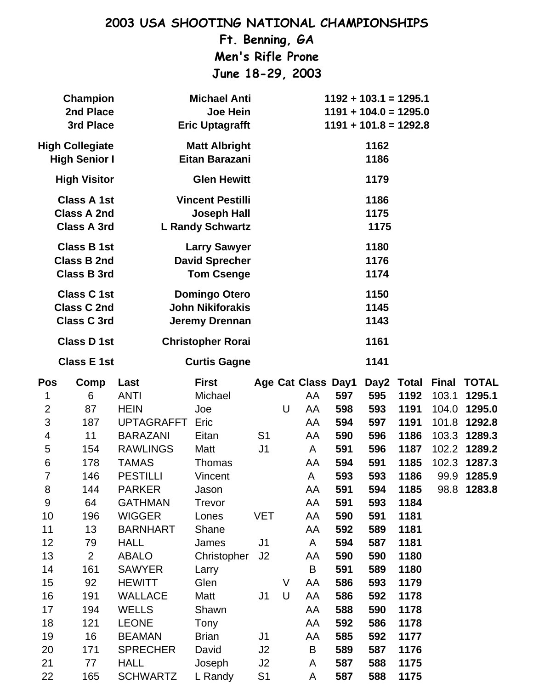**Ft. Benning, GA Men's Rifle Prone June 18-29, 2003**

|                                                                                                                                                                    | Champion<br>2nd Place<br>3rd Place                                                                                                          | <b>Michael Anti</b><br>Joe Hein<br><b>Eric Uptagrafft</b>                                                                                                                                                                                                                                                                                   |                                                                                                                                                                                                            |                                                                                                                        | $1192 + 103.1 = 1295.1$<br>$1191 + 104.0 = 1295.0$<br>$1191 + 101.8 = 1292.8$ |                                                                                                                                  |                                                                                                                                   |                                                                                                                                   |                                                                                                                                                                    |                                                          |                                                                                                               |
|--------------------------------------------------------------------------------------------------------------------------------------------------------------------|---------------------------------------------------------------------------------------------------------------------------------------------|---------------------------------------------------------------------------------------------------------------------------------------------------------------------------------------------------------------------------------------------------------------------------------------------------------------------------------------------|------------------------------------------------------------------------------------------------------------------------------------------------------------------------------------------------------------|------------------------------------------------------------------------------------------------------------------------|-------------------------------------------------------------------------------|----------------------------------------------------------------------------------------------------------------------------------|-----------------------------------------------------------------------------------------------------------------------------------|-----------------------------------------------------------------------------------------------------------------------------------|--------------------------------------------------------------------------------------------------------------------------------------------------------------------|----------------------------------------------------------|---------------------------------------------------------------------------------------------------------------|
|                                                                                                                                                                    | <b>High Collegiate</b><br><b>High Senior I</b>                                                                                              |                                                                                                                                                                                                                                                                                                                                             | <b>Matt Albright</b><br>Eitan Barazani                                                                                                                                                                     |                                                                                                                        |                                                                               |                                                                                                                                  |                                                                                                                                   | 1162<br>1186                                                                                                                      |                                                                                                                                                                    |                                                          |                                                                                                               |
|                                                                                                                                                                    | <b>High Visitor</b>                                                                                                                         |                                                                                                                                                                                                                                                                                                                                             | <b>Glen Hewitt</b>                                                                                                                                                                                         |                                                                                                                        |                                                                               |                                                                                                                                  |                                                                                                                                   | 1179                                                                                                                              |                                                                                                                                                                    |                                                          |                                                                                                               |
| <b>Class A 1st</b><br><b>Vincent Pestilli</b><br>1186<br><b>Class A 2nd</b><br><b>Joseph Hall</b><br>1175<br><b>Class A 3rd</b><br><b>L Randy Schwartz</b><br>1175 |                                                                                                                                             |                                                                                                                                                                                                                                                                                                                                             |                                                                                                                                                                                                            |                                                                                                                        |                                                                               |                                                                                                                                  |                                                                                                                                   |                                                                                                                                   |                                                                                                                                                                    |                                                          |                                                                                                               |
|                                                                                                                                                                    | <b>Class B 1st</b><br><b>Class B 2nd</b><br><b>Class B 3rd</b>                                                                              |                                                                                                                                                                                                                                                                                                                                             | <b>Larry Sawyer</b><br><b>David Sprecher</b><br><b>Tom Csenge</b>                                                                                                                                          | 1180<br>1176<br>1174                                                                                                   |                                                                               |                                                                                                                                  |                                                                                                                                   |                                                                                                                                   |                                                                                                                                                                    |                                                          |                                                                                                               |
|                                                                                                                                                                    | <b>Class C1st</b><br><b>Class C 2nd</b><br><b>Class C 3rd</b>                                                                               |                                                                                                                                                                                                                                                                                                                                             | <b>Domingo Otero</b><br><b>John Nikiforakis</b><br><b>Jeremy Drennan</b>                                                                                                                                   |                                                                                                                        |                                                                               |                                                                                                                                  |                                                                                                                                   | 1150<br>1145<br>1143                                                                                                              |                                                                                                                                                                    |                                                          |                                                                                                               |
| <b>Class D 1st</b>                                                                                                                                                 |                                                                                                                                             | <b>Christopher Rorai</b>                                                                                                                                                                                                                                                                                                                    |                                                                                                                                                                                                            |                                                                                                                        |                                                                               |                                                                                                                                  |                                                                                                                                   | 1161                                                                                                                              |                                                                                                                                                                    |                                                          |                                                                                                               |
|                                                                                                                                                                    | <b>Class E 1st</b>                                                                                                                          |                                                                                                                                                                                                                                                                                                                                             | <b>Curtis Gagne</b>                                                                                                                                                                                        |                                                                                                                        |                                                                               |                                                                                                                                  |                                                                                                                                   | 1141                                                                                                                              |                                                                                                                                                                    |                                                          |                                                                                                               |
| <b>Pos</b><br>1<br>$\overline{2}$<br>3<br>4<br>5<br>6<br>7<br>8<br>9<br>10<br>11<br>12<br>13<br>14<br>15<br>16<br>17<br>18<br>19                                   | Comp<br>6<br>87<br>187<br>11<br>154<br>178<br>146<br>144<br>64<br>196<br>13<br>79<br>$\overline{2}$<br>161<br>92<br>191<br>194<br>121<br>16 | Last<br><b>ANTI</b><br><b>HEIN</b><br><b>UPTAGRAFFT</b><br><b>BARAZANI</b><br><b>RAWLINGS</b><br><b>TAMAS</b><br><b>PESTILLI</b><br><b>PARKER</b><br><b>GATHMAN</b><br><b>WIGGER</b><br><b>BARNHART</b><br><b>HALL</b><br><b>ABALO</b><br><b>SAWYER</b><br><b>HEWITT</b><br><b>WALLACE</b><br><b>WELLS</b><br><b>LEONE</b><br><b>BEAMAN</b> | <b>First</b><br>Michael<br>Joe<br>Eric<br>Eitan<br>Matt<br>Thomas<br>Vincent<br>Jason<br><b>Trevor</b><br>Lones<br>Shane<br>James<br>Christopher<br>Larry<br>Glen<br>Matt<br>Shawn<br>Tony<br><b>Brian</b> | S <sub>1</sub><br>J <sub>1</sub><br><b>VET</b><br>J <sub>1</sub><br>J <sub>2</sub><br>J <sub>1</sub><br>J <sub>1</sub> | U<br>V<br>$\mathsf U$                                                         | Age Cat Class Day1<br>AA<br>AA<br>AA<br>AA<br>A<br>AA<br>A<br>AA<br>AA<br>AA<br>AA<br>A<br>AA<br>B<br>AA<br>AA<br>AA<br>AA<br>AA | 597<br>598<br>594<br>590<br>591<br>594<br>593<br>591<br>591<br>590<br>592<br>594<br>590<br>591<br>586<br>586<br>588<br>592<br>585 | 595<br>593<br>597<br>596<br>596<br>591<br>593<br>594<br>593<br>591<br>589<br>587<br>590<br>589<br>593<br>592<br>590<br>586<br>592 | Day2 Total<br>1192<br>1191<br>1191<br>1186<br>1187<br>1185<br>1186<br>1185<br>1184<br>1181<br>1181<br>1181<br>1180<br>1180<br>1179<br>1178<br>1178<br>1178<br>1177 | <b>Final</b><br>103.1<br>104.0<br>101.8<br>103.3<br>99.9 | <b>TOTAL</b><br>1295.1<br>1295.0<br>1292.8<br>1289.3<br>102.2 1289.2<br>102.3 1287.3<br>1285.9<br>98.8 1283.8 |
| 20<br>21<br>22                                                                                                                                                     | 171<br>77<br>165                                                                                                                            | <b>SPRECHER</b><br><b>HALL</b><br><b>SCHWARTZ</b>                                                                                                                                                                                                                                                                                           | David<br>Joseph<br>L Randy                                                                                                                                                                                 | J2<br>J2<br>S <sub>1</sub>                                                                                             |                                                                               | B<br>A<br>A                                                                                                                      | 589<br>587<br>587                                                                                                                 | 587<br>588<br>588                                                                                                                 | 1176<br>1175<br>1175                                                                                                                                               |                                                          |                                                                                                               |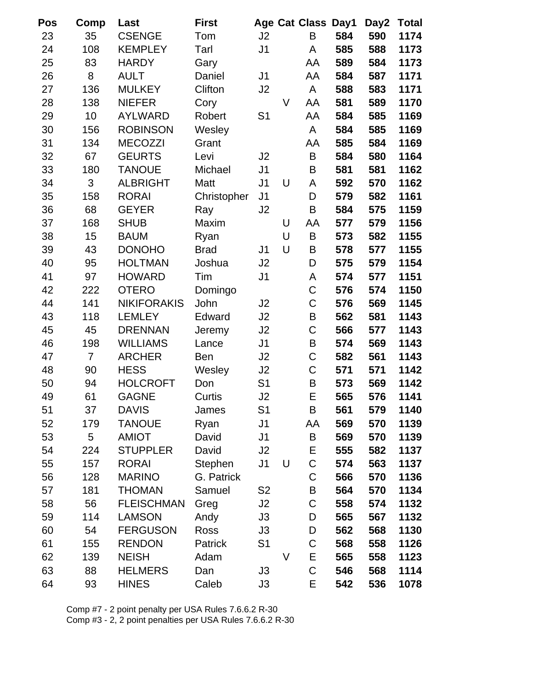| Pos | Comp           | Last               | <b>First</b> |                |   | <b>Age Cat Class</b> | Day1 | Day2 | Total |
|-----|----------------|--------------------|--------------|----------------|---|----------------------|------|------|-------|
| 23  | 35             | <b>CSENGE</b>      | Tom          | J2             |   | B                    | 584  | 590  | 1174  |
| 24  | 108            | <b>KEMPLEY</b>     | Tarl         | J <sub>1</sub> |   | Α                    | 585  | 588  | 1173  |
| 25  | 83             | <b>HARDY</b>       | Gary         |                |   | AA                   | 589  | 584  | 1173  |
| 26  | 8              | <b>AULT</b>        | Daniel       | J <sub>1</sub> |   | AA                   | 584  | 587  | 1171  |
| 27  | 136            | <b>MULKEY</b>      | Clifton      | J2             |   | A                    | 588  | 583  | 1171  |
| 28  | 138            | <b>NIEFER</b>      | Cory         |                | V | AA                   | 581  | 589  | 1170  |
| 29  | 10             | <b>AYLWARD</b>     | Robert       | S <sub>1</sub> |   | AA                   | 584  | 585  | 1169  |
| 30  | 156            | <b>ROBINSON</b>    | Wesley       |                |   | A                    | 584  | 585  | 1169  |
| 31  | 134            | <b>MECOZZI</b>     | Grant        |                |   | AA                   | 585  | 584  | 1169  |
| 32  | 67             | <b>GEURTS</b>      | Levi         | J2             |   | B                    | 584  | 580  | 1164  |
| 33  | 180            | <b>TANOUE</b>      | Michael      | J <sub>1</sub> |   | B                    | 581  | 581  | 1162  |
| 34  | 3              | <b>ALBRIGHT</b>    | Matt         | J <sub>1</sub> | U | A                    | 592  | 570  | 1162  |
| 35  | 158            | <b>RORAI</b>       | Christopher  | J <sub>1</sub> |   | D                    | 579  | 582  | 1161  |
| 36  | 68             | <b>GEYER</b>       | Ray          | J <sub>2</sub> |   | B                    | 584  | 575  | 1159  |
| 37  | 168            | <b>SHUB</b>        | Maxim        |                | U | AA                   | 577  | 579  | 1156  |
| 38  | 15             | <b>BAUM</b>        | Ryan         |                | U | B                    | 573  | 582  | 1155  |
| 39  | 43             | <b>DONOHO</b>      | <b>Brad</b>  | J <sub>1</sub> | U | B                    | 578  | 577  | 1155  |
| 40  | 95             | <b>HOLTMAN</b>     | Joshua       | J2             |   | D                    | 575  | 579  | 1154  |
| 41  | 97             | <b>HOWARD</b>      | Tim          | J <sub>1</sub> |   | A                    | 574  | 577  | 1151  |
| 42  | 222            | <b>OTERO</b>       | Domingo      |                |   | C                    | 576  | 574  | 1150  |
| 44  | 141            | <b>NIKIFORAKIS</b> | John         | J2             |   | C                    | 576  | 569  | 1145  |
| 43  | 118            | <b>LEMLEY</b>      | Edward       | J2             |   | B                    | 562  | 581  | 1143  |
| 45  | 45             | <b>DRENNAN</b>     | Jeremy       | J2             |   | C                    | 566  | 577  | 1143  |
| 46  | 198            | <b>WILLIAMS</b>    | Lance        | J <sub>1</sub> |   | B                    | 574  | 569  | 1143  |
| 47  | $\overline{7}$ | <b>ARCHER</b>      | Ben          | J2             |   | C                    | 582  | 561  | 1143  |
| 48  | 90             | <b>HESS</b>        | Wesley       | J2             |   | $\mathsf C$          | 571  | 571  | 1142  |
| 50  | 94             | <b>HOLCROFT</b>    | Don          | S <sub>1</sub> |   | B                    | 573  | 569  | 1142  |
| 49  | 61             | <b>GAGNE</b>       | Curtis       | J <sub>2</sub> |   | E                    | 565  | 576  | 1141  |
| 51  | 37             | <b>DAVIS</b>       | James        | S1             |   | B                    | 561  | 579  | 1140  |
| 52  | 179            | <b>TANOUE</b>      | Ryan         | J <sub>1</sub> |   | AA                   | 569  | 570  | 1139  |
| 53  | 5              | <b>AMIOT</b>       | David        | J <sub>1</sub> |   | B                    | 569  | 570  | 1139  |
| 54  | 224            | <b>STUPPLER</b>    | David        | J2             |   | Е                    | 555  | 582  | 1137  |
| 55  | 157            | <b>RORAI</b>       | Stephen      | J <sub>1</sub> | U | С                    | 574  | 563  | 1137  |
| 56  | 128            | <b>MARINO</b>      | G. Patrick   |                |   | C                    | 566  | 570  | 1136  |
| 57  | 181            | <b>THOMAN</b>      | Samuel       | S <sub>2</sub> |   | B                    | 564  | 570  | 1134  |
| 58  | 56             | <b>FLEISCHMAN</b>  | Greg         | J2             |   | $\mathsf C$          | 558  | 574  | 1132  |
| 59  | 114            | <b>LAMSON</b>      | Andy         | J3             |   | D                    | 565  | 567  | 1132  |
| 60  | 54             | <b>FERGUSON</b>    | Ross         | J3             |   | D                    | 562  | 568  | 1130  |
| 61  | 155            | <b>RENDON</b>      | Patrick      | S <sub>1</sub> |   | C                    | 568  | 558  | 1126  |
| 62  | 139            | <b>NEISH</b>       | Adam         |                | V | E                    | 565  | 558  | 1123  |
| 63  | 88             | <b>HELMERS</b>     | Dan          | J3             |   | C                    | 546  | 568  | 1114  |
| 64  | 93             | <b>HINES</b>       | Caleb        | J3             |   | Е                    | 542  | 536  | 1078  |

Comp #7 - 2 point penalty per USA Rules 7.6.6.2 R-30 Comp #3 - 2, 2 point penalties per USA Rules 7.6.6.2 R-30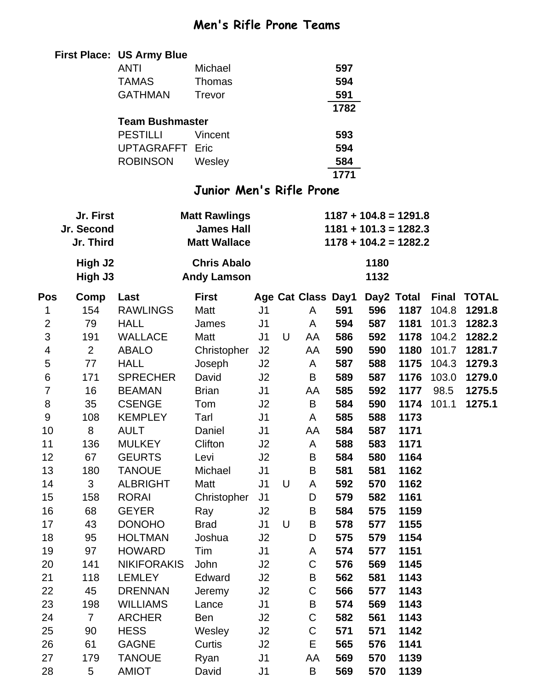### **Men's Rifle Prone Teams**

|                |                | <b>First Place: US Army Blue</b> |                          |                |   |                    |      |      |                         |              |              |
|----------------|----------------|----------------------------------|--------------------------|----------------|---|--------------------|------|------|-------------------------|--------------|--------------|
|                |                | <b>ANTI</b>                      | Michael                  |                |   |                    | 597  |      |                         |              |              |
|                |                | <b>TAMAS</b>                     | Thomas                   |                |   |                    | 594  |      |                         |              |              |
|                |                | <b>GATHMAN</b>                   | <b>Trevor</b>            |                |   |                    | 591  |      |                         |              |              |
|                |                |                                  |                          |                |   |                    | 1782 |      |                         |              |              |
|                |                | <b>Team Bushmaster</b>           |                          |                |   |                    |      |      |                         |              |              |
|                |                | <b>PESTILLI</b>                  | Vincent                  |                |   |                    | 593  |      |                         |              |              |
|                |                | <b>UPTAGRAFFT</b>                | Eric                     |                |   |                    | 594  |      |                         |              |              |
|                |                | <b>ROBINSON</b>                  | Wesley                   |                |   |                    | 584  |      |                         |              |              |
|                |                |                                  |                          |                |   |                    | 1771 |      |                         |              |              |
|                |                |                                  | Junior Men's Rifle Prone |                |   |                    |      |      |                         |              |              |
|                | Jr. First      |                                  | <b>Matt Rawlings</b>     |                |   |                    |      |      | $1187 + 104.8 = 1291.8$ |              |              |
|                | Jr. Second     |                                  | <b>James Hall</b>        |                |   |                    |      |      | $1181 + 101.3 = 1282.3$ |              |              |
|                | Jr. Third      |                                  | <b>Matt Wallace</b>      |                |   |                    |      |      | $1178 + 104.2 = 1282.2$ |              |              |
|                | High J2        |                                  | <b>Chris Abalo</b>       |                |   |                    |      | 1180 |                         |              |              |
|                | High J3        |                                  | <b>Andy Lamson</b>       |                |   |                    |      | 1132 |                         |              |              |
| Pos            | Comp           | Last                             | <b>First</b>             |                |   | Age Cat Class Day1 |      |      | Day2 Total              | <b>Final</b> | <b>TOTAL</b> |
| 1              | 154            | <b>RAWLINGS</b>                  | Matt                     | J <sub>1</sub> |   | A                  | 591  | 596  | 1187                    | 104.8        | 1291.8       |
| $\overline{2}$ | 79             | <b>HALL</b>                      | James                    | J <sub>1</sub> |   | A                  | 594  | 587  | 1181                    | 101.3        | 1282.3       |
| $\mathfrak{S}$ | 191            | <b>WALLACE</b>                   | Matt                     | J1             | U | AA                 | 586  | 592  | 1178                    | 104.2        | 1282.2       |
| 4              | $\overline{2}$ | <b>ABALO</b>                     | Christopher              | J <sub>2</sub> |   | AA                 | 590  | 590  | 1180                    | 101.7        | 1281.7       |
| 5              | 77             | <b>HALL</b>                      | Joseph                   | J <sub>2</sub> |   | A                  | 587  | 588  | 1175                    | 104.3        | 1279.3       |
| 6              | 171            | <b>SPRECHER</b>                  | David                    | J <sub>2</sub> |   | B                  | 589  | 587  | 1176                    | 103.0        | 1279.0       |
| 7              | 16             | <b>BEAMAN</b>                    | <b>Brian</b>             | J <sub>1</sub> |   | AA                 | 585  | 592  | 1177                    | 98.5         | 1275.5       |
| 8              | 35             | <b>CSENGE</b>                    | Tom                      | J <sub>2</sub> |   | B                  | 584  | 590  | 1174                    | 101.1        | 1275.1       |
| 9              | 108            | <b>KEMPLEY</b>                   | Tarl                     | J1             |   | A                  | 585  | 588  | 1173                    |              |              |
| 10             | 8              | <b>AULT</b>                      | Daniel                   | J <sub>1</sub> |   | AA                 | 584  | 587  | 1171                    |              |              |
| 11             | 136            | <b>MULKEY</b>                    | Clifton                  | J2             |   | A                  | 588  | 583  | 1171                    |              |              |
| 12             | 67             | <b>GEURTS</b>                    | Levi                     | J2             |   | B                  | 584  | 580  | 1164                    |              |              |
| 13             | 180            | <b>TANOUE</b>                    | Michael                  | J <sub>1</sub> |   | B                  | 581  | 581  | 1162                    |              |              |
| 14             | 3              | <b>ALBRIGHT</b>                  | Matt                     | J <sub>1</sub> | U | A                  | 592  | 570  | 1162                    |              |              |
| 15             | 158            | <b>RORAI</b>                     | Christopher              | J <sub>1</sub> |   | D                  | 579  | 582  | 1161                    |              |              |
| 16             | 68             | <b>GEYER</b>                     | Ray                      | J2             |   | B                  | 584  | 575  | 1159                    |              |              |
| 17             | 43             | <b>DONOHO</b>                    | <b>Brad</b>              | J <sub>1</sub> | U | B                  | 578  | 577  | 1155                    |              |              |
| 18             | 95             | <b>HOLTMAN</b>                   | Joshua                   | J2             |   | D                  | 575  | 579  | 1154                    |              |              |
| 19             | 97             | <b>HOWARD</b>                    | Tim                      | J <sub>1</sub> |   | A                  | 574  | 577  | 1151                    |              |              |
| 20             | 141            | <b>NIKIFORAKIS</b>               | John                     | J2             |   | $\mathsf C$        | 576  | 569  | 1145                    |              |              |
| 21             | 118            | <b>LEMLEY</b>                    | Edward                   | J2             |   | B                  | 562  | 581  | 1143                    |              |              |
| 22             | 45             | <b>DRENNAN</b>                   | Jeremy                   | J2             |   | $\mathsf C$        | 566  | 577  | 1143                    |              |              |
| 23             | 198            | <b>WILLIAMS</b>                  | Lance                    | J <sub>1</sub> |   | B                  | 574  | 569  | 1143                    |              |              |
| 24             | $\overline{7}$ | <b>ARCHER</b>                    | Ben                      | J2             |   | $\mathsf C$        | 582  | 561  | 1143                    |              |              |
| 25             | 90             | <b>HESS</b>                      | Wesley                   | J2             |   | C                  | 571  | 571  | 1142                    |              |              |
| 26             | 61             | <b>GAGNE</b>                     | Curtis                   | J2             |   | Е                  | 565  | 576  | 1141                    |              |              |
| 27             | 179            | <b>TANOUE</b>                    | Ryan                     | J <sub>1</sub> |   | AA                 | 569  | 570  | 1139                    |              |              |
| 28             | 5              | <b>AMIOT</b>                     | David                    | J <sub>1</sub> |   | B                  | 569  | 570  | 1139                    |              |              |
|                |                |                                  |                          |                |   |                    |      |      |                         |              |              |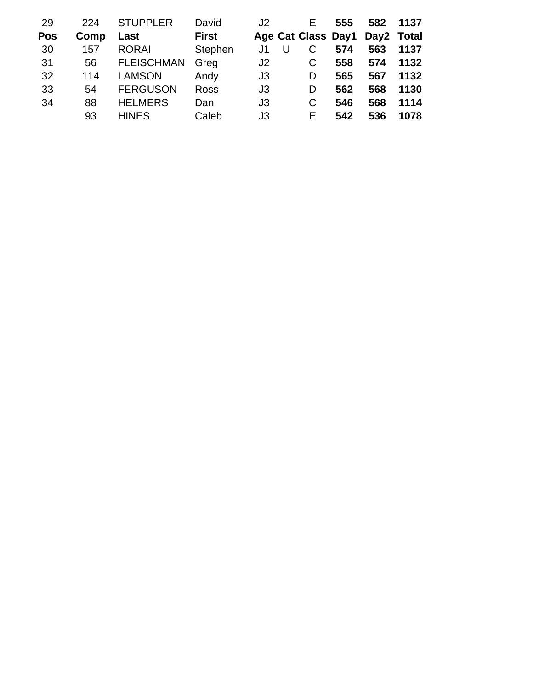| 29<br><b>Pos</b> | 224<br>Comp | <b>STUPPLER</b><br>Last | David<br><b>First</b> | J2             | E.<br>Age Cat Class Day1 | 555 | 582<br>Day2 Total | 1137 |
|------------------|-------------|-------------------------|-----------------------|----------------|--------------------------|-----|-------------------|------|
| 30               | 157         | <b>RORAI</b>            | Stephen               | J1.            | С<br>U                   | 574 | 563               | 1137 |
| 31               | 56          | <b>FLEISCHMAN</b>       | Greg                  | J2             | C                        | 558 | 574               | 1132 |
| 32               | 114         | <b>LAMSON</b>           | Andy                  | J <sub>3</sub> | D                        | 565 | 567               | 1132 |
| 33               | 54          | <b>FERGUSON</b>         | <b>Ross</b>           | J3             | D                        | 562 | 568               | 1130 |
| 34               | 88          | <b>HELMERS</b>          | Dan                   | J3             | C                        | 546 | 568               | 1114 |
|                  | 93          | <b>HINES</b>            | Caleb                 | J3             | F.                       | 542 | 536               | 1078 |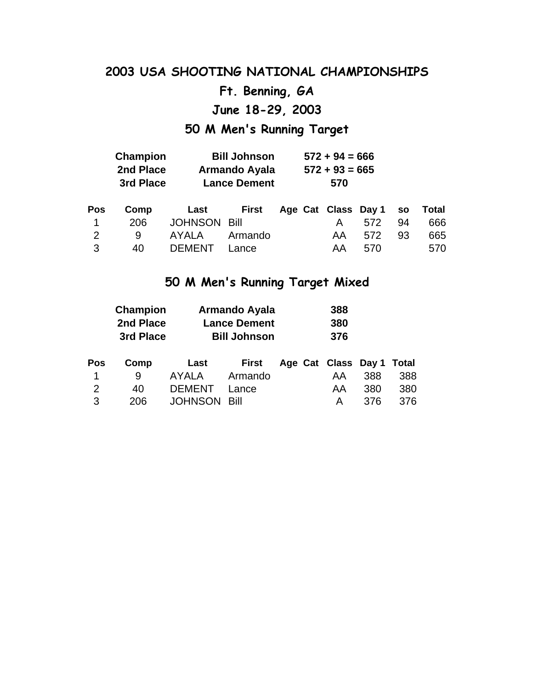### **Ft. Benning, GA**

**June 18-29, 2003**

### **50 M Men's Running Target**

| Champion  | <b>Bill Johnson</b>  | $572 + 94 = 666$ |
|-----------|----------------------|------------------|
| 2nd Place | <b>Armando Ayala</b> | $572 + 93 = 665$ |
| 3rd Place | <b>Lance Dement</b>  | 570              |

|  | Pos Comp Last First Age-Cat-Class-Day-1 so Total |  |               |  |
|--|--------------------------------------------------|--|---------------|--|
|  | 1 206 JOHNSON Bill                               |  | A 572 94 666  |  |
|  | 2 9 AYALA Armando                                |  | AA 572 93 665 |  |
|  | 3 40 DEMENT Lance                                |  | AA 570 570    |  |

### **50 M Men's Running Target Mixed**

|     | Champion  |               | <b>Armando Ayala</b> |                     | 388 |     |       |  |  |
|-----|-----------|---------------|----------------------|---------------------|-----|-----|-------|--|--|
|     | 2nd Place |               | <b>Lance Dement</b>  |                     |     |     |       |  |  |
|     | 3rd Place |               | <b>Bill Johnson</b>  |                     | 376 |     |       |  |  |
|     |           |               |                      |                     |     |     |       |  |  |
| Pos | Comp      | Last          | <b>First</b>         | Age Cat Class Day 1 |     |     | Total |  |  |
| 1   | 9         | AYALA         | Armando              |                     | AA  | 388 | 388   |  |  |
| 2   | 40        | <b>DEMENT</b> | Lance                |                     | AA  | 380 | 380   |  |  |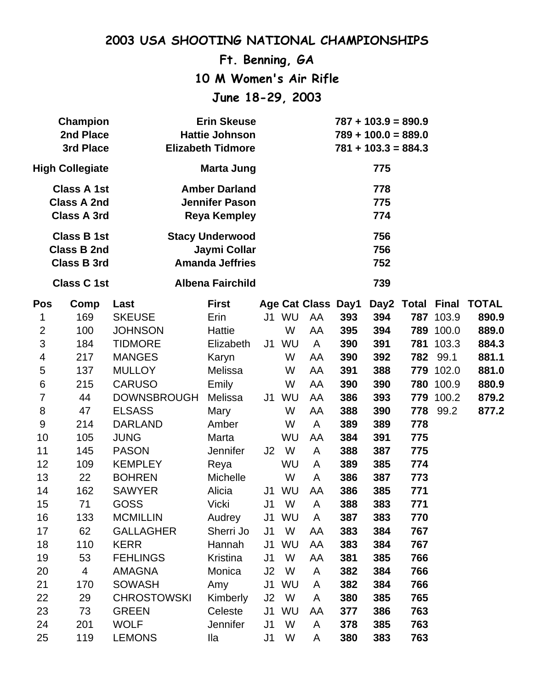**Ft. Benning, GA**

**10 M Women's Air Rifle**

**June 18-29, 2003**

| <b>Erin Skeuse</b><br><b>Champion</b><br>2nd Place<br><b>Hattie Johnson</b><br>3rd Place<br><b>Elizabeth Tidmore</b> |                                                                |                    |                                                                      |                |           |                           |     | $787 + 103.9 = 890.9$<br>$789 + 100.0 = 889.0$<br>$781 + 103.3 = 884.3$ |     |           |                        |
|----------------------------------------------------------------------------------------------------------------------|----------------------------------------------------------------|--------------------|----------------------------------------------------------------------|----------------|-----------|---------------------------|-----|-------------------------------------------------------------------------|-----|-----------|------------------------|
|                                                                                                                      | <b>High Collegiate</b>                                         |                    | <b>Marta Jung</b>                                                    |                |           |                           |     | 775                                                                     |     |           |                        |
|                                                                                                                      | <b>Class A 1st</b><br><b>Class A 2nd</b><br><b>Class A 3rd</b> |                    | <b>Amber Darland</b><br><b>Jennifer Pason</b><br><b>Reya Kempley</b> |                |           |                           |     | 778<br>775<br>774                                                       |     |           |                        |
|                                                                                                                      | <b>Class B 1st</b><br><b>Class B 2nd</b><br><b>Class B 3rd</b> |                    | <b>Stacy Underwood</b><br>Jaymi Collar<br><b>Amanda Jeffries</b>     |                |           |                           |     | 756<br>756<br>752                                                       |     |           |                        |
|                                                                                                                      | <b>Class C1st</b>                                              |                    | <b>Albena Fairchild</b>                                              |                |           |                           |     | 739                                                                     |     |           |                        |
| <b>Pos</b>                                                                                                           | Comp                                                           | Last               | <b>First</b>                                                         |                |           | <b>Age Cat Class Day1</b> |     |                                                                         |     |           | Day2 Total Final TOTAL |
| 1                                                                                                                    | 169                                                            | <b>SKEUSE</b>      | Erin                                                                 | J1             | WU        | AA                        | 393 | 394                                                                     |     | 787 103.9 | 890.9                  |
| $\overline{2}$                                                                                                       | 100                                                            | <b>JOHNSON</b>     | <b>Hattie</b>                                                        |                | W         | AA                        | 395 | 394                                                                     |     | 789 100.0 | 889.0                  |
| 3                                                                                                                    | 184                                                            | <b>TIDMORE</b>     | Elizabeth                                                            | J1             | WU        | $\mathsf{A}$              | 390 | 391                                                                     | 781 | 103.3     | 884.3                  |
| $\overline{4}$                                                                                                       | 217                                                            | <b>MANGES</b>      | Karyn                                                                |                | W         | AA                        | 390 | 392                                                                     | 782 | 99.1      | 881.1                  |
| 5                                                                                                                    | 137                                                            | <b>MULLOY</b>      | Melissa                                                              |                | W         | AA                        | 391 | 388                                                                     |     | 779 102.0 | 881.0                  |
| 6                                                                                                                    | 215                                                            | <b>CARUSO</b>      | Emily                                                                |                | W         | AA                        | 390 | 390                                                                     |     | 780 100.9 | 880.9                  |
| $\overline{7}$                                                                                                       | 44                                                             | <b>DOWNSBROUGH</b> | Melissa                                                              | J1             | WU        | AA                        | 386 | 393                                                                     |     | 779 100.2 | 879.2                  |
| 8                                                                                                                    | 47                                                             | <b>ELSASS</b>      | Mary                                                                 |                | W         | AA                        | 388 | 390                                                                     | 778 | 99.2      | 877.2                  |
| 9                                                                                                                    | 214                                                            | <b>DARLAND</b>     | Amber                                                                |                | W         | A                         | 389 | 389                                                                     | 778 |           |                        |
| 10                                                                                                                   | 105                                                            | <b>JUNG</b>        | Marta                                                                |                | WU        | AA                        | 384 | 391                                                                     | 775 |           |                        |
| 11                                                                                                                   | 145                                                            | <b>PASON</b>       | <b>Jennifer</b>                                                      | J <sub>2</sub> | W         | A                         | 388 | 387                                                                     | 775 |           |                        |
| 12                                                                                                                   | 109                                                            | <b>KEMPLEY</b>     | Reya                                                                 |                | <b>WU</b> | A                         | 389 | 385                                                                     | 774 |           |                        |
| 13                                                                                                                   | 22                                                             | <b>BOHREN</b>      | Michelle                                                             |                | W         | A                         | 386 | 387                                                                     | 773 |           |                        |
| 14                                                                                                                   | 162                                                            | <b>SAWYER</b>      | Alicia                                                               |                | J1 WU     | AA                        | 386 | 385                                                                     | 771 |           |                        |
| 15                                                                                                                   | 71                                                             | <b>GOSS</b>        | <b>Vicki</b>                                                         | J1             | W         | A                         | 388 | 383                                                                     | 771 |           |                        |
| 16                                                                                                                   | 133                                                            | <b>MCMILLIN</b>    | Audrey                                                               |                | J1 WU     | $\mathsf{A}$              | 387 | 383                                                                     | 770 |           |                        |
| 17                                                                                                                   | 62                                                             | <b>GALLAGHER</b>   | Sherri Jo                                                            | J <sub>1</sub> | W         | AA                        | 383 | 384                                                                     | 767 |           |                        |
| 18                                                                                                                   | 110                                                            | <b>KERR</b>        | Hannah                                                               | J1             | WU        | AA                        | 383 | 384                                                                     | 767 |           |                        |
| 19                                                                                                                   | 53                                                             | <b>FEHLINGS</b>    | Kristina                                                             | J1             | W         | AA                        | 381 | 385                                                                     | 766 |           |                        |
| 20                                                                                                                   | $\overline{4}$                                                 | AMAGNA             | Monica                                                               | J2             | W         | A                         | 382 | 384                                                                     | 766 |           |                        |
| 21                                                                                                                   | 170                                                            | <b>SOWASH</b>      | Amy                                                                  | J1             | WU        | A                         | 382 | 384                                                                     | 766 |           |                        |
| 22                                                                                                                   | 29                                                             | <b>CHROSTOWSKI</b> | Kimberly                                                             | J2             | W         | A                         | 380 | 385                                                                     | 765 |           |                        |
| 23                                                                                                                   | 73                                                             | <b>GREEN</b>       | Celeste                                                              | J1             | WU        | AA                        | 377 | 386                                                                     | 763 |           |                        |
| 24                                                                                                                   | 201                                                            | <b>WOLF</b>        | Jennifer                                                             | J <sub>1</sub> | W         | A                         | 378 | 385                                                                     | 763 |           |                        |
| 25                                                                                                                   | 119                                                            | <b>LEMONS</b>      | lla                                                                  | J1             | W         | A                         | 380 | 383                                                                     | 763 |           |                        |
|                                                                                                                      |                                                                |                    |                                                                      |                |           |                           |     |                                                                         |     |           |                        |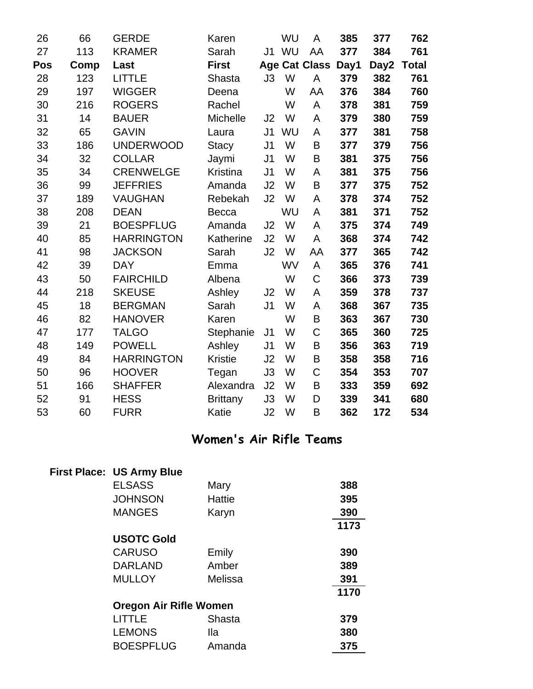| 26  | 66   | <b>GERDE</b>      | Karen           |                | WU        | A                    | 385  | 377  | 762          |
|-----|------|-------------------|-----------------|----------------|-----------|----------------------|------|------|--------------|
| 27  | 113  | <b>KRAMER</b>     | Sarah           | J1             | WU        | AA                   | 377  | 384  | 761          |
| Pos | Comp | Last              | <b>First</b>    |                |           | <b>Age Cat Class</b> | Day1 | Day2 | <b>Total</b> |
| 28  | 123  | <b>LITTLE</b>     | Shasta          | J3             | W         | A                    | 379  | 382  | 761          |
| 29  | 197  | <b>WIGGER</b>     | Deena           |                | W         | AA                   | 376  | 384  | 760          |
| 30  | 216  | <b>ROGERS</b>     | Rachel          |                | W         | A                    | 378  | 381  | 759          |
| 31  | 14   | <b>BAUER</b>      | Michelle        | J2             | W         | A                    | 379  | 380  | 759          |
| 32  | 65   | <b>GAVIN</b>      | Laura           | J <sub>1</sub> | WU        | A                    | 377  | 381  | 758          |
| 33  | 186  | <b>UNDERWOOD</b>  | <b>Stacy</b>    | J <sub>1</sub> | W         | B                    | 377  | 379  | 756          |
| 34  | 32   | <b>COLLAR</b>     | Jaymi           | J <sub>1</sub> | W         | B                    | 381  | 375  | 756          |
| 35  | 34   | <b>CRENWELGE</b>  | <b>Kristina</b> | J <sub>1</sub> | W         | A                    | 381  | 375  | 756          |
| 36  | 99   | <b>JEFFRIES</b>   | Amanda          | J2             | W         | B                    | 377  | 375  | 752          |
| 37  | 189  | <b>VAUGHAN</b>    | Rebekah         | J2             | W         | A                    | 378  | 374  | 752          |
| 38  | 208  | <b>DEAN</b>       | <b>Becca</b>    |                | <b>WU</b> | A                    | 381  | 371  | 752          |
| 39  | 21   | <b>BOESPFLUG</b>  | Amanda          | J2             | W         | A                    | 375  | 374  | 749          |
| 40  | 85   | <b>HARRINGTON</b> | Katherine       | J2             | W         | A                    | 368  | 374  | 742          |
| 41  | 98   | <b>JACKSON</b>    | Sarah           | J2             | W         | AA                   | 377  | 365  | 742          |
| 42  | 39   | <b>DAY</b>        | Emma            |                | <b>WV</b> | A                    | 365  | 376  | 741          |
| 43  | 50   | <b>FAIRCHILD</b>  | Albena          |                | W         | $\mathsf C$          | 366  | 373  | 739          |
| 44  | 218  | <b>SKEUSE</b>     | Ashley          | J2             | W         | A                    | 359  | 378  | 737          |
| 45  | 18   | <b>BERGMAN</b>    | Sarah           | J <sub>1</sub> | W         | A                    | 368  | 367  | 735          |
| 46  | 82   | <b>HANOVER</b>    | Karen           |                | W         | B                    | 363  | 367  | 730          |
| 47  | 177  | <b>TALGO</b>      | Stephanie       | J <sub>1</sub> | W         | $\mathsf C$          | 365  | 360  | 725          |
| 48  | 149  | <b>POWELL</b>     | Ashley          | J <sub>1</sub> | W         | B                    | 356  | 363  | 719          |
| 49  | 84   | <b>HARRINGTON</b> | <b>Kristie</b>  | J <sub>2</sub> | W         | B                    | 358  | 358  | 716          |
| 50  | 96   | <b>HOOVER</b>     | Tegan           | J3             | W         | $\mathsf C$          | 354  | 353  | 707          |
| 51  | 166  | <b>SHAFFER</b>    | Alexandra       | J2             | W         | B                    | 333  | 359  | 692          |
| 52  | 91   | <b>HESS</b>       | <b>Brittany</b> | J3             | W         | D                    | 339  | 341  | 680          |
| 53  | 60   | <b>FURR</b>       | Katie           | J <sub>2</sub> | W         | B                    | 362  | 172  | 534          |

### **Women's Air Rifle Teams**

| <b>First Place: US Army Blue</b> |               |      |
|----------------------------------|---------------|------|
| <b>ELSASS</b>                    | Mary          | 388  |
| <b>JOHNSON</b>                   | <b>Hattie</b> | 395  |
| <b>MANGES</b>                    | Karyn         | 390  |
|                                  |               | 1173 |
| <b>USOTC Gold</b>                |               |      |
| <b>CARUSO</b>                    | Emily         | 390  |
| <b>DARLAND</b>                   | Amber         | 389  |
| <b>MULLOY</b>                    | Melissa       | 391  |
|                                  |               | 1170 |
| <b>Oregon Air Rifle Women</b>    |               |      |
| <b>LITTLE</b>                    | Shasta        | 379  |
| <b>LEMONS</b>                    | <b>Ila</b>    | 380  |
| <b>BOESPFLUG</b>                 | Amanda        | 375  |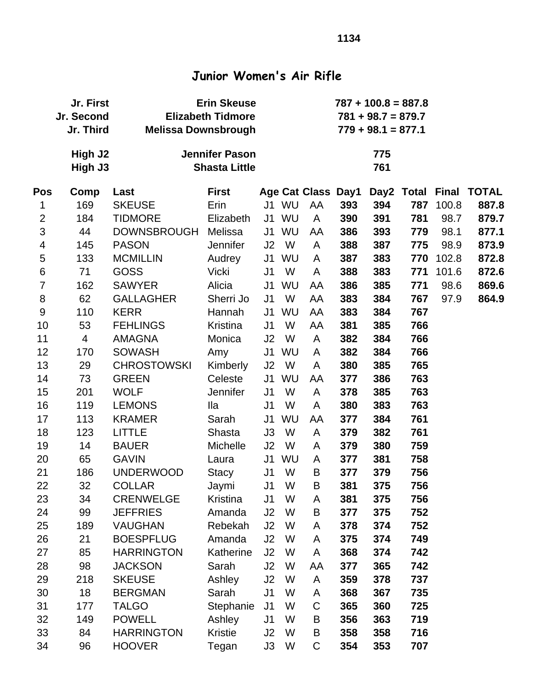### **Junior Women's Air Rifle**

|                         | <b>Erin Skeuse</b><br>Jr. First<br>Jr. Second<br><b>Elizabeth Tidmore</b><br>Jr. Third<br><b>Melissa Downsbrough</b> |                     |                                               |                | $787 + 100.8 = 887.8$<br>$781 + 98.7 = 879.7$<br>$779 + 98.1 = 877.1$ |                    |     |            |     |       |                        |  |
|-------------------------|----------------------------------------------------------------------------------------------------------------------|---------------------|-----------------------------------------------|----------------|-----------------------------------------------------------------------|--------------------|-----|------------|-----|-------|------------------------|--|
|                         | High J2<br>High J3                                                                                                   |                     | <b>Jennifer Pason</b><br><b>Shasta Little</b> |                |                                                                       |                    |     | 775<br>761 |     |       |                        |  |
| Pos                     | Comp                                                                                                                 | Last                | <b>First</b>                                  |                |                                                                       | Age Cat Class Day1 |     |            |     |       | Day2 Total Final TOTAL |  |
| 1                       | 169                                                                                                                  | <b>SKEUSE</b>       | Erin                                          |                | J1 WU                                                                 | AA                 | 393 | 394        | 787 | 100.8 | 887.8                  |  |
| $\overline{2}$          | 184                                                                                                                  | <b>TIDMORE</b>      | Elizabeth                                     |                | J1 WU                                                                 | $\mathsf{A}$       | 390 | 391        | 781 | 98.7  | 879.7                  |  |
| $\mathfrak{S}$          | 44                                                                                                                   | DOWNSBROUGH Melissa |                                               | J1             | WU                                                                    | AA                 | 386 | 393        | 779 | 98.1  | 877.1                  |  |
| $\overline{\mathbf{4}}$ | 145                                                                                                                  | <b>PASON</b>        | <b>Jennifer</b>                               | J2             | <b>W</b>                                                              | A                  | 388 | 387        | 775 | 98.9  | 873.9                  |  |
| $\sqrt{5}$              | 133                                                                                                                  | <b>MCMILLIN</b>     | Audrey                                        | J1             | WU                                                                    | A                  | 387 | 383        | 770 | 102.8 | 872.8                  |  |
| 6                       | 71                                                                                                                   | <b>GOSS</b>         | <b>Vicki</b>                                  | J <sub>1</sub> | W                                                                     | A                  | 388 | 383        | 771 | 101.6 | 872.6                  |  |
| $\overline{7}$          | 162                                                                                                                  | <b>SAWYER</b>       | Alicia                                        | J1             | WU                                                                    | AA                 | 386 | 385        | 771 | 98.6  | 869.6                  |  |
| 8                       | 62                                                                                                                   | <b>GALLAGHER</b>    | Sherri Jo                                     | J <sub>1</sub> | W                                                                     | AA                 | 383 | 384        | 767 | 97.9  | 864.9                  |  |
| $9\,$                   | 110                                                                                                                  | <b>KERR</b>         | Hannah                                        | J1             | WU                                                                    | AA                 | 383 | 384        | 767 |       |                        |  |
| 10                      | 53                                                                                                                   | <b>FEHLINGS</b>     | Kristina                                      | J1             | W                                                                     | AA                 | 381 | 385        | 766 |       |                        |  |
| 11                      | 4                                                                                                                    | <b>AMAGNA</b>       | Monica                                        | J <sub>2</sub> | W                                                                     | A                  | 382 | 384        | 766 |       |                        |  |
| 12                      | 170                                                                                                                  | <b>SOWASH</b>       | Amy                                           | J1             | WU                                                                    | A                  | 382 | 384        | 766 |       |                        |  |
| 13                      | 29                                                                                                                   | <b>CHROSTOWSKI</b>  | Kimberly                                      | J2             | <b>W</b>                                                              | A                  | 380 | 385        | 765 |       |                        |  |
| 14                      | 73                                                                                                                   | <b>GREEN</b>        | Celeste                                       | J1             | WU                                                                    | AA                 | 377 | 386        | 763 |       |                        |  |
| 15                      | 201                                                                                                                  | <b>WOLF</b>         | <b>Jennifer</b>                               | J <sub>1</sub> | W                                                                     | A                  | 378 | 385        | 763 |       |                        |  |
| 16                      | 119                                                                                                                  | <b>LEMONS</b>       | <b>Ila</b>                                    | J <sub>1</sub> | W                                                                     | A                  | 380 | 383        | 763 |       |                        |  |
| 17                      | 113                                                                                                                  | <b>KRAMER</b>       | Sarah                                         | J1             | WU                                                                    | AA                 | 377 | 384        | 761 |       |                        |  |
| 18                      | 123                                                                                                                  | <b>LITTLE</b>       | Shasta                                        | J3             | W                                                                     | A                  | 379 | 382        | 761 |       |                        |  |
| 19                      | 14                                                                                                                   | <b>BAUER</b>        | <b>Michelle</b>                               | J2             | W                                                                     | A                  | 379 | 380        | 759 |       |                        |  |
| 20                      | 65                                                                                                                   | <b>GAVIN</b>        | Laura                                         | J1             | WU                                                                    | A                  | 377 | 381        | 758 |       |                        |  |
| 21                      | 186                                                                                                                  | <b>UNDERWOOD</b>    | Stacy                                         | J <sub>1</sub> | W                                                                     | B                  | 377 | 379        | 756 |       |                        |  |
| 22                      | 32                                                                                                                   | <b>COLLAR</b>       | Jaymi                                         | J1             | W                                                                     | B                  | 381 | 375        | 756 |       |                        |  |
| 23                      | 34                                                                                                                   | <b>CRENWELGE</b>    | Kristina                                      | J1             | W                                                                     | A                  | 381 | 375        | 756 |       |                        |  |
| 24                      | 99                                                                                                                   | <b>JEFFRIES</b>     | Amanda                                        | J2             | W                                                                     | B                  | 377 | 375        | 752 |       |                        |  |
| 25                      | 189                                                                                                                  | <b>VAUGHAN</b>      | Rebekah                                       | J2             | W                                                                     | A                  | 378 | 374        | 752 |       |                        |  |
| 26                      | 21                                                                                                                   | <b>BOESPFLUG</b>    | Amanda                                        | J2             | W                                                                     | A                  | 375 | 374        | 749 |       |                        |  |
| 27                      | 85                                                                                                                   | <b>HARRINGTON</b>   | Katherine                                     | J2             | W                                                                     | A                  | 368 | 374        | 742 |       |                        |  |
| 28                      | 98                                                                                                                   | <b>JACKSON</b>      | Sarah                                         | J2             | W                                                                     | AA                 | 377 | 365        | 742 |       |                        |  |
| 29                      | 218                                                                                                                  | <b>SKEUSE</b>       | Ashley                                        | J2             | W                                                                     | A                  | 359 | 378        | 737 |       |                        |  |
| 30                      | 18                                                                                                                   | <b>BERGMAN</b>      | Sarah                                         | J <sub>1</sub> | W                                                                     | A                  | 368 | 367        | 735 |       |                        |  |
| 31                      | 177                                                                                                                  | <b>TALGO</b>        | Stephanie                                     | J <sub>1</sub> | W                                                                     | C                  | 365 | 360        | 725 |       |                        |  |
| 32                      | 149                                                                                                                  | <b>POWELL</b>       | Ashley                                        | J <sub>1</sub> | W                                                                     | B                  | 356 | 363        | 719 |       |                        |  |
| 33                      | 84                                                                                                                   | <b>HARRINGTON</b>   | <b>Kristie</b>                                | J2             | W                                                                     | B                  | 358 | 358        | 716 |       |                        |  |
| 34                      | 96                                                                                                                   | <b>HOOVER</b>       | Tegan                                         | J3             | W                                                                     | $\mathsf C$        | 354 | 353        | 707 |       |                        |  |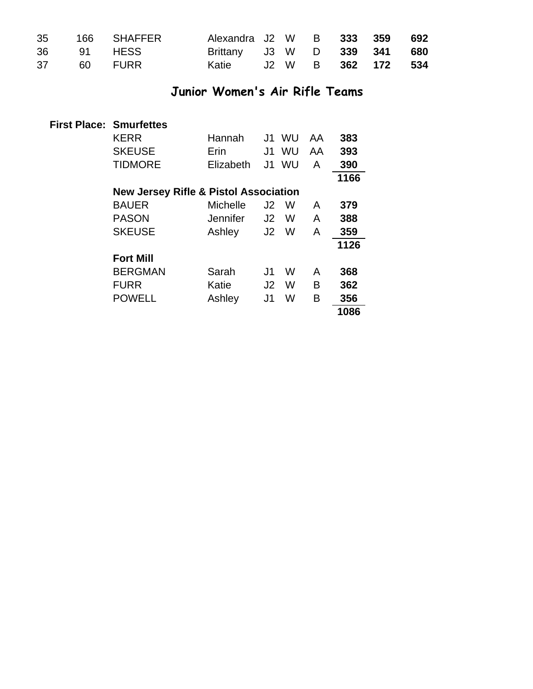|  | 35 166 SHAFFER | Alexandra J2 W B 333 359 692 |  |  |  |
|--|----------------|------------------------------|--|--|--|
|  | 36 91 HESS     | Brittany J3 W D 339 341 680  |  |  |  |
|  | 37 60 FURR     | Katie J2 W B 362 172 534     |  |  |  |

### **Junior Women's Air Rifle Teams**

| <b>First Place: Smurfettes</b>                   |           |    |           |    |      |
|--------------------------------------------------|-----------|----|-----------|----|------|
| <b>KERR</b>                                      | Hannah    |    | J1 WU     | AA | 383  |
| <b>SKEUSE</b>                                    | Erin      | J1 | <b>WU</b> | AA | 393  |
| <b>TIDMORE</b>                                   | Elizabeth | J1 | <b>WU</b> | A  | 390  |
|                                                  |           |    |           |    | 1166 |
| <b>New Jersey Rifle &amp; Pistol Association</b> |           |    |           |    |      |
| <b>BAUER</b>                                     | Michelle  | J2 | W         | A  | 379  |
| <b>PASON</b>                                     | Jennifer  | J2 | W         | A  | 388  |
| <b>SKEUSE</b>                                    | Ashley    | J2 | W         | A  | 359  |
|                                                  |           |    |           |    | 1126 |
| <b>Fort Mill</b>                                 |           |    |           |    |      |
| <b>BERGMAN</b>                                   | Sarah     | J1 | W         | A  | 368  |
| <b>FURR</b>                                      | Katie     | J2 | W         | B  | 362  |
| <b>POWELL</b>                                    | Ashley    | J1 | W         | B  | 356  |
|                                                  |           |    |           |    | 1086 |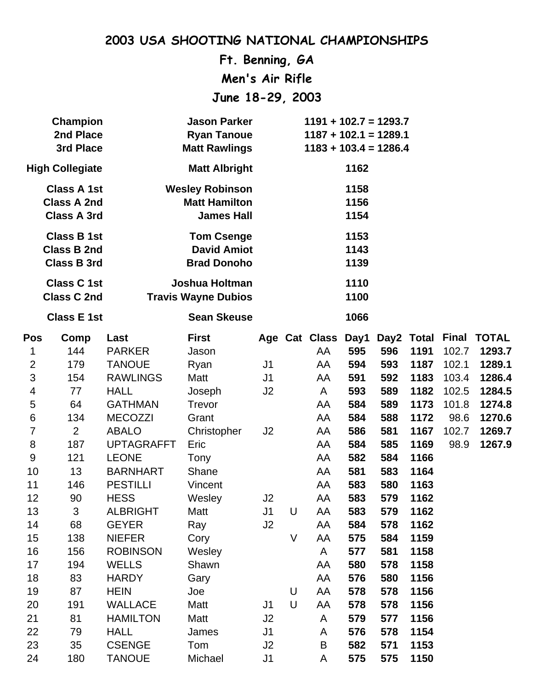**Ft. Benning, GA Men's Air Rifle June 18-29, 2003**

|                         | <b>Champion</b><br>2nd Place<br>3rd Place                      |                   | <b>Jason Parker</b><br><b>Ryan Tanoue</b><br><b>Matt Rawlings</b>   | $1191 + 102.7 = 1293.7$<br>$1187 + 102.1 = 1289.1$<br>$1183 + 103.4 = 1286.4$ |        |               |                      |     |            |              |              |
|-------------------------|----------------------------------------------------------------|-------------------|---------------------------------------------------------------------|-------------------------------------------------------------------------------|--------|---------------|----------------------|-----|------------|--------------|--------------|
|                         | <b>High Collegiate</b>                                         |                   | <b>Matt Albright</b>                                                |                                                                               |        |               | 1162                 |     |            |              |              |
|                         | <b>Class A 1st</b><br><b>Class A 2nd</b><br><b>Class A 3rd</b> |                   | <b>Wesley Robinson</b><br><b>Matt Hamilton</b><br><b>James Hall</b> |                                                                               |        |               | 1158<br>1156<br>1154 |     |            |              |              |
|                         | <b>Class B 1st</b><br><b>Class B 2nd</b><br><b>Class B 3rd</b> |                   | <b>Tom Csenge</b><br><b>David Amiot</b><br><b>Brad Donoho</b>       |                                                                               |        |               | 1153<br>1143<br>1139 |     |            |              |              |
|                         | <b>Class C1st</b><br><b>Class C 2nd</b>                        |                   | Joshua Holtman<br><b>Travis Wayne Dubios</b>                        |                                                                               |        |               | 1110<br>1100         |     |            |              |              |
|                         | <b>Class E 1st</b>                                             |                   | <b>Sean Skeuse</b>                                                  |                                                                               |        |               | 1066                 |     |            |              |              |
| <b>Pos</b>              | Comp                                                           | Last              | <b>First</b>                                                        |                                                                               |        | Age Cat Class | Day1                 |     | Day2 Total | <b>Final</b> | <b>TOTAL</b> |
| 1                       | 144                                                            | <b>PARKER</b>     | Jason                                                               |                                                                               |        | AA            | 595                  | 596 | 1191       | 102.7        | 1293.7       |
| $\overline{2}$          | 179                                                            | <b>TANOUE</b>     | Ryan                                                                | J <sub>1</sub>                                                                |        | AA            | 594                  | 593 | 1187       | 102.1        | 1289.1       |
| 3                       | 154                                                            | <b>RAWLINGS</b>   | Matt                                                                | J <sub>1</sub>                                                                |        | AA            | 591                  | 592 | 1183       | 103.4        | 1286.4       |
| $\overline{\mathbf{4}}$ | 77                                                             | <b>HALL</b>       | Joseph                                                              | J <sub>2</sub>                                                                |        | A             | 593                  | 589 | 1182       | 102.5        | 1284.5       |
| 5                       | 64                                                             | <b>GATHMAN</b>    | Trevor                                                              |                                                                               |        | AA            | 584                  | 589 | 1173       | 101.8        | 1274.8       |
| 6                       | 134                                                            | <b>MECOZZI</b>    | Grant                                                               |                                                                               |        | AA            | 584                  | 588 | 1172       | 98.6         | 1270.6       |
| 7                       | $\overline{2}$                                                 | <b>ABALO</b>      | Christopher                                                         | J2                                                                            |        | AA            | 586                  | 581 | 1167       | 102.7        | 1269.7       |
| 8                       | 187                                                            | <b>UPTAGRAFFT</b> | Eric                                                                |                                                                               |        | AA            | 584                  | 585 | 1169       | 98.9         | 1267.9       |
| 9                       | 121                                                            | <b>LEONE</b>      | Tony                                                                |                                                                               |        | AA            | 582                  | 584 | 1166       |              |              |
| 10                      | 13                                                             | <b>BARNHART</b>   | Shane                                                               |                                                                               |        | AA            | 581                  | 583 | 1164       |              |              |
| 11                      | 146                                                            | <b>PESTILLI</b>   | Vincent                                                             |                                                                               |        | AA            | 583                  | 580 | 1163       |              |              |
| 12                      | 90                                                             | <b>HESS</b>       | Wesley                                                              | J <sub>2</sub>                                                                |        | AA            | 583                  | 579 | 1162       |              |              |
| 13                      | 3                                                              | <b>ALBRIGHT</b>   | Matt                                                                | J <sub>1</sub>                                                                | U      | AA            | 583                  | 579 | 1162       |              |              |
| 14                      | 68                                                             | <b>GEYER</b>      | Ray                                                                 | J2                                                                            |        | AA            | 584                  | 578 | 1162       |              |              |
| 15                      | 138                                                            | <b>NIEFER</b>     | Cory                                                                |                                                                               | $\vee$ | AA            | 575                  | 584 | 1159       |              |              |
| 16                      | 156                                                            | <b>ROBINSON</b>   | Wesley                                                              |                                                                               |        | A             | 577                  | 581 | 1158       |              |              |
| 17                      | 194                                                            | <b>WELLS</b>      | Shawn                                                               |                                                                               |        | AA            | 580                  | 578 | 1158       |              |              |
| 18                      | 83                                                             | <b>HARDY</b>      | Gary                                                                |                                                                               |        | AA            | 576                  | 580 | 1156       |              |              |
| 19                      | 87                                                             | <b>HEIN</b>       | Joe                                                                 |                                                                               | U      | AA            | 578                  | 578 | 1156       |              |              |
| 20                      | 191                                                            | <b>WALLACE</b>    | Matt                                                                | J <sub>1</sub>                                                                | $\cup$ | AA            | 578                  | 578 | 1156       |              |              |
| 21                      | 81                                                             | <b>HAMILTON</b>   | Matt                                                                | J2                                                                            |        | A             | 579                  | 577 | 1156       |              |              |
| 22                      | 79                                                             | <b>HALL</b>       | James                                                               | J <sub>1</sub>                                                                |        | A             | 576                  | 578 | 1154       |              |              |
| 23                      | 35                                                             | <b>CSENGE</b>     | Tom                                                                 | J2                                                                            |        | B             | 582                  | 571 | 1153       |              |              |
| 24                      | 180                                                            | <b>TANOUE</b>     | Michael                                                             | J1                                                                            |        | A             | 575                  | 575 | 1150       |              |              |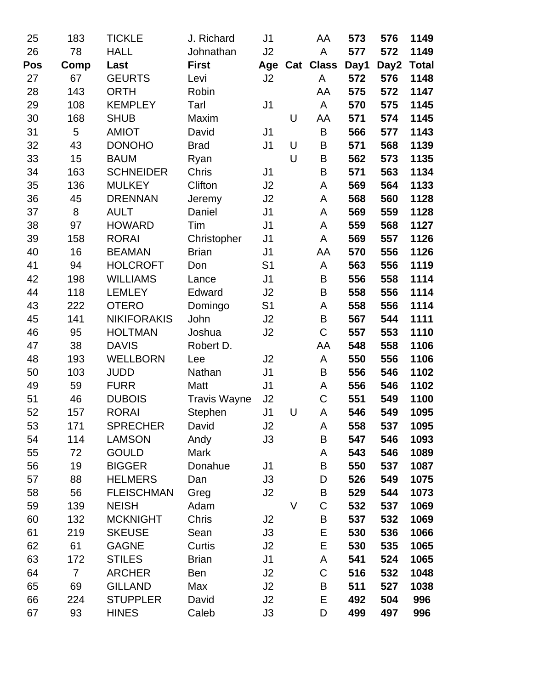| 25  | 183            | <b>TICKLE</b>      | J. Richard          | J1             |        | AA           | 573  | 576  | 1149  |
|-----|----------------|--------------------|---------------------|----------------|--------|--------------|------|------|-------|
| 26  | 78             | <b>HALL</b>        | Johnathan           | J2             |        | A            | 577  | 572  | 1149  |
| Pos | Comp           | Last               | <b>First</b>        | Age            | Cat    | <b>Class</b> | Day1 | Day2 | Total |
| 27  | 67             | <b>GEURTS</b>      | Levi                | J2             |        | A            | 572  | 576  | 1148  |
| 28  | 143            | <b>ORTH</b>        | Robin               |                |        | AA           | 575  | 572  | 1147  |
| 29  | 108            | <b>KEMPLEY</b>     | Tarl                | J <sub>1</sub> |        | A            | 570  | 575  | 1145  |
| 30  | 168            | <b>SHUB</b>        | Maxim               |                | U      | AA           | 571  | 574  | 1145  |
| 31  | 5              | <b>AMIOT</b>       | David               | J <sub>1</sub> |        | B            | 566  | 577  | 1143  |
| 32  | 43             | <b>DONOHO</b>      | <b>Brad</b>         | J <sub>1</sub> | U      | Β            | 571  | 568  | 1139  |
| 33  | 15             | <b>BAUM</b>        | Ryan                |                | U      | B            | 562  | 573  | 1135  |
| 34  | 163            | <b>SCHNEIDER</b>   | Chris               | J <sub>1</sub> |        | B            | 571  | 563  | 1134  |
| 35  | 136            | <b>MULKEY</b>      | Clifton             | J2             |        | A            | 569  | 564  | 1133  |
| 36  | 45             | <b>DRENNAN</b>     | Jeremy              | J2             |        | A            | 568  | 560  | 1128  |
| 37  | 8              | <b>AULT</b>        | Daniel              | J <sub>1</sub> |        | A            | 569  | 559  | 1128  |
| 38  | 97             | <b>HOWARD</b>      | Tim                 | J <sub>1</sub> |        | A            | 559  | 568  | 1127  |
| 39  | 158            | <b>RORAI</b>       | Christopher         | J <sub>1</sub> |        | A            | 569  | 557  | 1126  |
| 40  | 16             | <b>BEAMAN</b>      | <b>Brian</b>        | J <sub>1</sub> |        | AA           | 570  | 556  | 1126  |
| 41  | 94             | <b>HOLCROFT</b>    | Don                 | S <sub>1</sub> |        | A            | 563  | 556  | 1119  |
| 42  | 198            | <b>WILLIAMS</b>    | Lance               | J <sub>1</sub> |        | B            | 556  | 558  | 1114  |
| 44  | 118            | <b>LEMLEY</b>      | Edward              | J2             |        | B            | 558  | 556  | 1114  |
| 43  | 222            | <b>OTERO</b>       | Domingo             | S <sub>1</sub> |        | A            | 558  | 556  | 1114  |
| 45  | 141            | <b>NIKIFORAKIS</b> | John                | J2             |        | B            | 567  | 544  | 1111  |
| 46  | 95             | <b>HOLTMAN</b>     | Joshua              | J2             |        | C            | 557  | 553  | 1110  |
| 47  | 38             | <b>DAVIS</b>       | Robert D.           |                |        | AA           | 548  | 558  | 1106  |
| 48  | 193            | <b>WELLBORN</b>    | Lee                 | J2             |        | A            | 550  | 556  | 1106  |
| 50  | 103            | <b>JUDD</b>        | Nathan              | J <sub>1</sub> |        | B            | 556  | 546  | 1102  |
| 49  | 59             | <b>FURR</b>        | Matt                | J1             |        | A            | 556  | 546  | 1102  |
| 51  | 46             | <b>DUBOIS</b>      | <b>Travis Wayne</b> | J2             |        | $\mathsf C$  | 551  | 549  | 1100  |
| 52  | 157            | <b>RORAI</b>       | Stephen             | J1             | U      | A            | 546  | 549  | 1095  |
| 53  | 171            | <b>SPRECHER</b>    | David               | J2             |        | A            | 558  | 537  | 1095  |
| 54  | 114            | <b>LAMSON</b>      | Andy                | J3             |        | B            | 547  | 546  | 1093  |
| 55  | 72             | <b>GOULD</b>       | Mark                |                |        | A            | 543  | 546  | 1089  |
| 56  | 19             | <b>BIGGER</b>      | Donahue             | J <sub>1</sub> |        | B            | 550  | 537  | 1087  |
| 57  | 88             | <b>HELMERS</b>     | Dan                 | J3             |        | D            | 526  | 549  | 1075  |
| 58  | 56             | <b>FLEISCHMAN</b>  | Greg                | J <sub>2</sub> |        | B            | 529  | 544  | 1073  |
| 59  | 139            | <b>NEISH</b>       | Adam                |                | $\vee$ | $\mathsf C$  | 532  | 537  | 1069  |
| 60  | 132            | <b>MCKNIGHT</b>    | Chris               | J2             |        | B            | 537  | 532  | 1069  |
| 61  | 219            | <b>SKEUSE</b>      | Sean                | J3             |        | Ε            | 530  | 536  | 1066  |
| 62  | 61             | <b>GAGNE</b>       | Curtis              | J2             |        | Ε            | 530  | 535  | 1065  |
| 63  | 172            | <b>STILES</b>      | <b>Brian</b>        | J <sub>1</sub> |        | A            | 541  | 524  | 1065  |
| 64  | $\overline{7}$ | <b>ARCHER</b>      | Ben                 | J2             |        | $\mathsf C$  | 516  | 532  | 1048  |
| 65  | 69             | <b>GILLAND</b>     | Max                 | J2             |        | B            | 511  | 527  | 1038  |
| 66  | 224            | <b>STUPPLER</b>    | David               | J2             |        | Ε            | 492  | 504  | 996   |
| 67  | 93             | <b>HINES</b>       | Caleb               | J3             |        | D            | 499  | 497  | 996   |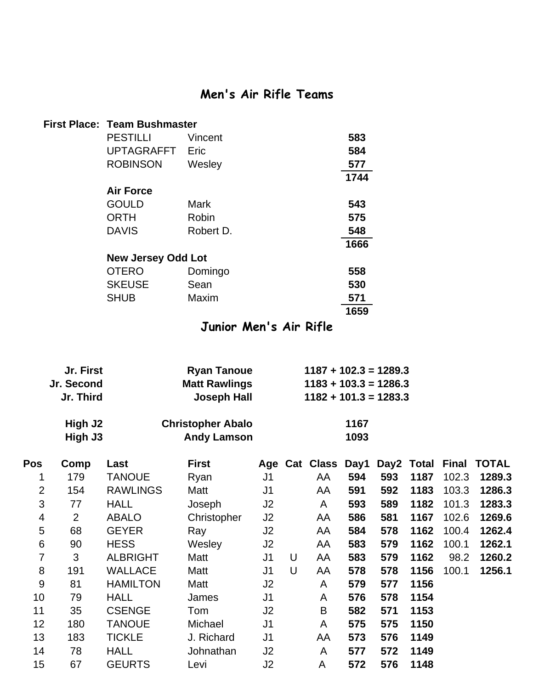### **Men's Air Rifle Teams**

| First Place: Team Bushmaster |           |      |
|------------------------------|-----------|------|
| <b>PESTILLI</b>              | Vincent   | 583  |
| UPTAGRAFFT                   | Eric      | 584  |
| <b>ROBINSON</b>              | Wesley    | 577  |
|                              |           | 1744 |
| <b>Air Force</b>             |           |      |
| <b>GOULD</b>                 | Mark      | 543  |
| <b>ORTH</b>                  | Robin     | 575  |
| <b>DAVIS</b>                 | Robert D. | 548  |
|                              |           | 1666 |
| <b>New Jersey Odd Lot</b>    |           |      |
| <b>OTERO</b>                 | Domingo   | 558  |
| <b>SKEUSE</b>                | Sean      | 530  |
| <b>SHUB</b>                  | Maxim     | 571  |
|                              |           | 1659 |

#### **Junior Men's Air Rifle**

| Jr. First  | <b>Ryan Tanoue</b>       | $1187 + 102.3 = 1289.3$ |
|------------|--------------------------|-------------------------|
| Jr. Second | <b>Matt Rawlings</b>     | $1183 + 103.3 = 1286.3$ |
| Jr. Third  | <b>Joseph Hall</b>       | $1182 + 101.3 = 1283.3$ |
| High J2    | <b>Christopher Abalo</b> | 1167                    |
| High J3    | <b>Andy Lamson</b>       | 1093                    |

| <b>Pos</b> | Comp           | Last            | <b>First</b> |                |   |    |     |     |      |       | Age Cat Class Day1 Day2 Total Final TOTAL |
|------------|----------------|-----------------|--------------|----------------|---|----|-----|-----|------|-------|-------------------------------------------|
| 1          | 179            | <b>TANOUE</b>   | Ryan         | J <sub>1</sub> |   | AA | 594 | 593 | 1187 | 102.3 | 1289.3                                    |
| 2          | 154            | <b>RAWLINGS</b> | Matt         | J1             |   | AA | 591 | 592 | 1183 | 103.3 | 1286.3                                    |
| 3          | 77             | <b>HALL</b>     | Joseph       | J2             |   | A  | 593 | 589 | 1182 | 101.3 | 1283.3                                    |
| 4          | $\overline{2}$ | <b>ABALO</b>    | Christopher  | J2             |   | AA | 586 | 581 | 1167 | 102.6 | 1269.6                                    |
| 5          | 68             | <b>GEYER</b>    | Ray          | J2             |   | AA | 584 | 578 | 1162 | 100.4 | 1262.4                                    |
| 6          | 90             | <b>HESS</b>     | Wesley       | J <sub>2</sub> |   | AA | 583 | 579 | 1162 | 100.1 | 1262.1                                    |
| 7          | 3              | <b>ALBRIGHT</b> | Matt         | J1             | U | AA | 583 | 579 | 1162 | 98.2  | 1260.2                                    |
| 8          | 191            | <b>WALLACE</b>  | Matt         | J1             | U | AA | 578 | 578 | 1156 | 100.1 | 1256.1                                    |
| 9          | 81             | <b>HAMILTON</b> | Matt         | J2             |   | A  | 579 | 577 | 1156 |       |                                           |
| 10         | 79             | <b>HALL</b>     | James        | J <sub>1</sub> |   | A  | 576 | 578 | 1154 |       |                                           |
| 11         | 35             | <b>CSENGE</b>   | Tom          | J2             |   | B  | 582 | 571 | 1153 |       |                                           |
| 12         | 180            | <b>TANOUE</b>   | Michael      | J <sub>1</sub> |   | A  | 575 | 575 | 1150 |       |                                           |
| 13         | 183            | <b>TICKLE</b>   | J. Richard   | J <sub>1</sub> |   | AA | 573 | 576 | 1149 |       |                                           |
| 14         | 78             | <b>HALL</b>     | Johnathan    | J2             |   | A  | 577 | 572 | 1149 |       |                                           |
| 15         | 67             | <b>GEURTS</b>   | Levi         | J <sub>2</sub> |   | A  | 572 | 576 | 1148 |       |                                           |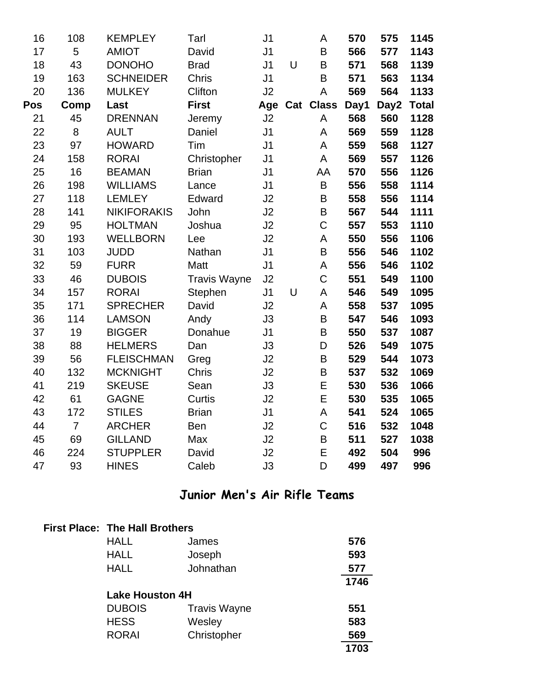| 16  | 108            | <b>KEMPLEY</b>     | Tarl                | J <sub>1</sub> |   | A                | 570  | 575  | 1145         |
|-----|----------------|--------------------|---------------------|----------------|---|------------------|------|------|--------------|
| 17  | 5              | <b>AMIOT</b>       | David               | J <sub>1</sub> |   | B                | 566  | 577  | 1143         |
| 18  | 43             | <b>DONOHO</b>      | <b>Brad</b>         | J <sub>1</sub> | U | B                | 571  | 568  | 1139         |
| 19  | 163            | <b>SCHNEIDER</b>   | <b>Chris</b>        | J <sub>1</sub> |   | B                | 571  | 563  | 1134         |
| 20  | 136            | <b>MULKEY</b>      | Clifton             | J2             |   | A                | 569  | 564  | 1133         |
| Pos | Comp           | Last               | <b>First</b>        | Age            |   | <b>Cat Class</b> | Day1 | Day2 | <b>Total</b> |
| 21  | 45             | <b>DRENNAN</b>     | Jeremy              | J2             |   | A                | 568  | 560  | 1128         |
| 22  | 8              | <b>AULT</b>        | Daniel              | J <sub>1</sub> |   | A                | 569  | 559  | 1128         |
| 23  | 97             | <b>HOWARD</b>      | Tim                 | J <sub>1</sub> |   | A                | 559  | 568  | 1127         |
| 24  | 158            | <b>RORAI</b>       | Christopher         | J <sub>1</sub> |   | A                | 569  | 557  | 1126         |
| 25  | 16             | <b>BEAMAN</b>      | <b>Brian</b>        | J <sub>1</sub> |   | AA               | 570  | 556  | 1126         |
| 26  | 198            | <b>WILLIAMS</b>    | Lance               | J <sub>1</sub> |   | B                | 556  | 558  | 1114         |
| 27  | 118            | <b>LEMLEY</b>      | Edward              | J2             |   | B                | 558  | 556  | 1114         |
| 28  | 141            | <b>NIKIFORAKIS</b> | John                | J2             |   | B                | 567  | 544  | 1111         |
| 29  | 95             | <b>HOLTMAN</b>     | Joshua              | J2             |   | $\overline{C}$   | 557  | 553  | 1110         |
| 30  | 193            | <b>WELLBORN</b>    | Lee                 | J2             |   | A                | 550  | 556  | 1106         |
| 31  | 103            | <b>JUDD</b>        | Nathan              | J <sub>1</sub> |   | B                | 556  | 546  | 1102         |
| 32  | 59             | <b>FURR</b>        | Matt                | J <sub>1</sub> |   | A                | 556  | 546  | 1102         |
| 33  | 46             | <b>DUBOIS</b>      | <b>Travis Wayne</b> | J2             |   | $\overline{C}$   | 551  | 549  | 1100         |
| 34  | 157            | <b>RORAI</b>       | Stephen             | J <sub>1</sub> | U | A                | 546  | 549  | 1095         |
| 35  | 171            | <b>SPRECHER</b>    | David               | J2             |   | A                | 558  | 537  | 1095         |
| 36  | 114            | <b>LAMSON</b>      | Andy                | J3             |   | B                | 547  | 546  | 1093         |
| 37  | 19             | <b>BIGGER</b>      | Donahue             | J <sub>1</sub> |   | B                | 550  | 537  | 1087         |
| 38  | 88             | <b>HELMERS</b>     | Dan                 | J3             |   | D                | 526  | 549  | 1075         |
| 39  | 56             | <b>FLEISCHMAN</b>  | Greg                | J2             |   | B                | 529  | 544  | 1073         |
| 40  | 132            | <b>MCKNIGHT</b>    | Chris               | J2             |   | B                | 537  | 532  | 1069         |
| 41  | 219            | <b>SKEUSE</b>      | Sean                | J3             |   | E                | 530  | 536  | 1066         |
| 42  | 61             | <b>GAGNE</b>       | Curtis              | J2             |   | E                | 530  | 535  | 1065         |
| 43  | 172            | <b>STILES</b>      | <b>Brian</b>        | J <sub>1</sub> |   | A                | 541  | 524  | 1065         |
| 44  | $\overline{7}$ | <b>ARCHER</b>      | Ben                 | J2             |   | $\mathsf C$      | 516  | 532  | 1048         |
| 45  | 69             | <b>GILLAND</b>     | Max                 | J2             |   | B                | 511  | 527  | 1038         |
| 46  | 224            | <b>STUPPLER</b>    | David               | J2             |   | E                | 492  | 504  | 996          |
| 47  | 93             | <b>HINES</b>       | Caleb               | J3             |   | D                | 499  | 497  | 996          |

### **Junior Men's Air Rifle Teams**

|                        | <b>First Place: The Hall Brothers</b> |      |  |  |  |  |  |
|------------------------|---------------------------------------|------|--|--|--|--|--|
| <b>HALL</b>            | James                                 | 576  |  |  |  |  |  |
| <b>HALL</b>            | Joseph                                | 593  |  |  |  |  |  |
| <b>HALL</b>            | Johnathan                             | 577  |  |  |  |  |  |
|                        |                                       | 1746 |  |  |  |  |  |
| <b>Lake Houston 4H</b> |                                       |      |  |  |  |  |  |
| <b>DUBOIS</b>          | <b>Travis Wayne</b>                   | 551  |  |  |  |  |  |
| <b>HESS</b>            | Wesley                                | 583  |  |  |  |  |  |
| <b>RORAI</b>           | Christopher                           | 569  |  |  |  |  |  |
|                        |                                       | 1703 |  |  |  |  |  |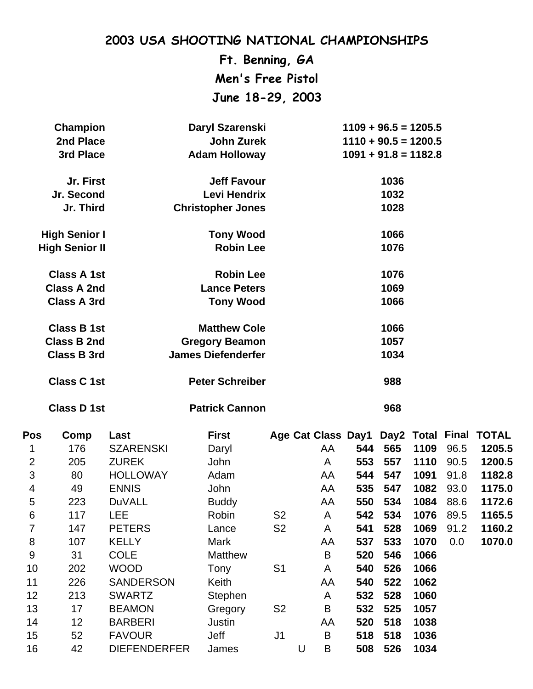**Ft. Benning, GA Men's Free Pistol June 18-29, 2003**

|                | <b>Champion</b>       | Daryl Szarenski     |                           |                |   |         | $1109 + 96.5 = 1205.5$ |      |      |      |                        |
|----------------|-----------------------|---------------------|---------------------------|----------------|---|---------|------------------------|------|------|------|------------------------|
|                | 2nd Place             |                     | <b>John Zurek</b>         |                |   |         | $1110 + 90.5 = 1200.5$ |      |      |      |                        |
|                | 3rd Place             |                     | <b>Adam Holloway</b>      |                |   |         | $1091 + 91.8 = 1182.8$ |      |      |      |                        |
|                | Jr. First             |                     | <b>Jeff Favour</b>        |                |   |         |                        | 1036 |      |      |                        |
|                | Jr. Second            |                     | <b>Levi Hendrix</b>       |                |   |         |                        | 1032 |      |      |                        |
|                | Jr. Third             |                     | <b>Christopher Jones</b>  |                |   |         |                        | 1028 |      |      |                        |
|                | <b>High Senior I</b>  |                     | <b>Tony Wood</b>          |                |   |         |                        | 1066 |      |      |                        |
|                | <b>High Senior II</b> |                     | <b>Robin Lee</b>          |                |   |         |                        | 1076 |      |      |                        |
|                | <b>Class A 1st</b>    |                     | <b>Robin Lee</b>          |                |   |         |                        | 1076 |      |      |                        |
|                | <b>Class A 2nd</b>    |                     | <b>Lance Peters</b>       |                |   |         |                        | 1069 |      |      |                        |
|                | <b>Class A 3rd</b>    |                     | <b>Tony Wood</b>          |                |   |         |                        | 1066 |      |      |                        |
|                | <b>Class B 1st</b>    |                     | <b>Matthew Cole</b>       |                |   |         |                        | 1066 |      |      |                        |
|                | <b>Class B 2nd</b>    |                     | <b>Gregory Beamon</b>     |                |   |         |                        | 1057 |      |      |                        |
|                | <b>Class B 3rd</b>    |                     | <b>James Diefenderfer</b> |                |   |         |                        | 1034 |      |      |                        |
|                | <b>Class C 1st</b>    |                     | <b>Peter Schreiber</b>    |                |   |         |                        | 988  |      |      |                        |
|                | <b>Class D 1st</b>    |                     | <b>Patrick Cannon</b>     |                |   |         |                        | 968  |      |      |                        |
| Pos            | Comp                  | Last                | <b>First</b>              |                |   |         | Age Cat Class Day1     |      |      |      | Day2 Total Final TOTAL |
| 1              | 176                   | <b>SZARENSKI</b>    | Daryl                     |                |   | AA      | 544                    | 565  | 1109 | 96.5 | 1205.5                 |
| $\overline{2}$ | 205                   | <b>ZUREK</b>        | John                      |                |   | A       | 553                    | 557  | 1110 | 90.5 | 1200.5                 |
| 3              | 80                    | <b>HOLLOWAY</b>     | Adam                      |                |   | AA      | 544                    | 547  | 1091 | 91.8 | 1182.8                 |
| 4              | 49                    | <b>ENNIS</b>        | John                      |                |   | AA      | 535                    | 547  | 1082 | 93.0 | 1175.0                 |
| 5              | 223                   | <b>DuVALL</b>       | <b>Buddy</b>              |                |   | AA      | 550                    | 534  | 1084 | 88.6 | 1172.6                 |
| 6              | 117                   | LEE                 | Robin                     | S <sub>2</sub> |   | A       | 542                    | 534  | 1076 | 89.5 | 1165.5                 |
| 7              | 147                   | <b>PETERS</b>       | Lance                     | S <sub>2</sub> |   | A       | 541                    | 528  | 1069 | 91.2 | 1160.2                 |
| 8              | 107                   | <b>KELLY</b>        | Mark                      |                |   | AA      | 537                    | 533  | 1070 | 0.0  | 1070.0                 |
| $9\,$          | 31                    | <b>COLE</b>         | <b>Matthew</b>            |                |   | B       | 520                    | 546  | 1066 |      |                        |
| 10             | 202                   | <b>WOOD</b>         | Tony                      | S <sub>1</sub> |   | A       | 540                    | 526  | 1066 |      |                        |
| 11             | 226                   | <b>SANDERSON</b>    | Keith                     |                |   | AA      | 540                    | 522  | 1062 |      |                        |
| 12             | 213                   | <b>SWARTZ</b>       | Stephen                   |                |   | A       | 532                    | 528  | 1060 |      |                        |
| 13             | 17                    | <b>BEAMON</b>       | Gregory                   | S <sub>2</sub> |   | B       | 532                    | 525  | 1057 |      |                        |
| 14             | 12                    | <b>BARBERI</b>      | Justin                    |                |   | AA      | 520                    | 518  | 1038 |      |                        |
| 15             | 52                    | <b>FAVOUR</b>       | Jeff                      | J1             |   | B       | 518                    | 518  | 1036 |      |                        |
| 16             | 42                    | <b>DIEFENDERFER</b> | James                     |                | U | $\sf B$ | 508                    | 526  | 1034 |      |                        |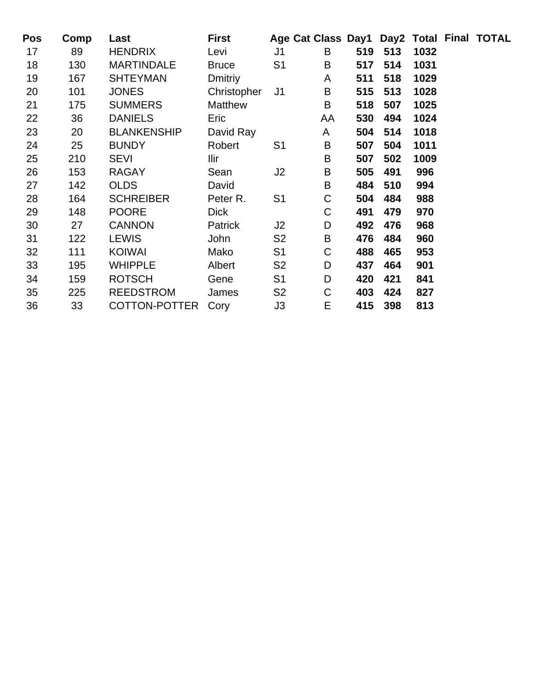| <b>Pos</b> | Comp | Last               | <b>First</b>   |                | Age Cat Class Day1 Day2 Total Final TOTAL |     |     |      |  |
|------------|------|--------------------|----------------|----------------|-------------------------------------------|-----|-----|------|--|
| 17         | 89   | <b>HENDRIX</b>     | Levi           | J1             | B                                         | 519 | 513 | 1032 |  |
| 18         | 130  | <b>MARTINDALE</b>  | <b>Bruce</b>   | S <sub>1</sub> | B                                         | 517 | 514 | 1031 |  |
| 19         | 167  | <b>SHTEYMAN</b>    | Dmitriy        |                | A                                         | 511 | 518 | 1029 |  |
| 20         | 101  | <b>JONES</b>       | Christopher    | J <sub>1</sub> | B                                         | 515 | 513 | 1028 |  |
| 21         | 175  | <b>SUMMERS</b>     | <b>Matthew</b> |                | B                                         | 518 | 507 | 1025 |  |
| 22         | 36   | <b>DANIELS</b>     | Eric           |                | AA                                        | 530 | 494 | 1024 |  |
| 23         | 20   | <b>BLANKENSHIP</b> | David Ray      |                | A                                         | 504 | 514 | 1018 |  |
| 24         | 25   | <b>BUNDY</b>       | Robert         | S <sub>1</sub> | B                                         | 507 | 504 | 1011 |  |
| 25         | 210  | <b>SEVI</b>        | Ilir           |                | B                                         | 507 | 502 | 1009 |  |
| 26         | 153  | <b>RAGAY</b>       | Sean           | J2             | B                                         | 505 | 491 | 996  |  |
| 27         | 142  | <b>OLDS</b>        | David          |                | B                                         | 484 | 510 | 994  |  |
| 28         | 164  | <b>SCHREIBER</b>   | Peter R.       | S <sub>1</sub> | $\mathsf C$                               | 504 | 484 | 988  |  |
| 29         | 148  | <b>POORE</b>       | <b>Dick</b>    |                | $\mathsf C$                               | 491 | 479 | 970  |  |
| 30         | 27   | <b>CANNON</b>      | Patrick        | J2             | D                                         | 492 | 476 | 968  |  |
| 31         | 122  | <b>LEWIS</b>       | John           | S <sub>2</sub> | B                                         | 476 | 484 | 960  |  |
| 32         | 111  | <b>KOIWAI</b>      | Mako           | S <sub>1</sub> | $\mathsf C$                               | 488 | 465 | 953  |  |
| 33         | 195  | <b>WHIPPLE</b>     | Albert         | S <sub>2</sub> | D                                         | 437 | 464 | 901  |  |
| 34         | 159  | <b>ROTSCH</b>      | Gene           | S <sub>1</sub> | D                                         | 420 | 421 | 841  |  |
| 35         | 225  | <b>REEDSTROM</b>   | James          | S <sub>2</sub> | $\mathsf C$                               | 403 | 424 | 827  |  |
| 36         | 33   | COTTON-POTTER      | Cory           | J3             | E                                         | 415 | 398 | 813  |  |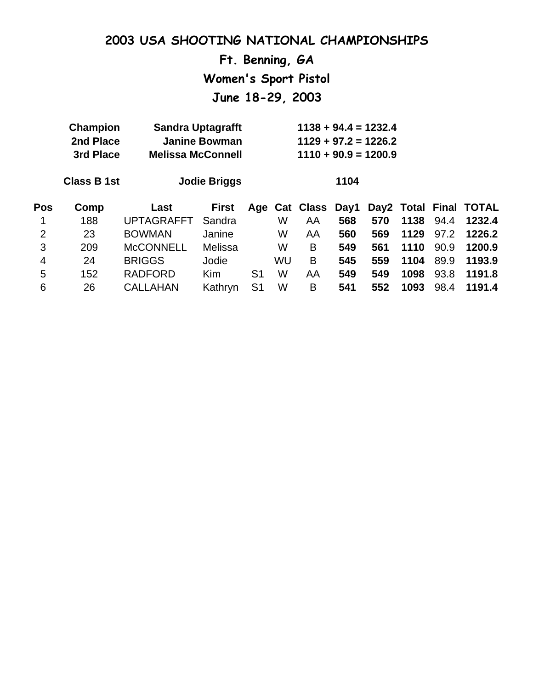**Ft. Benning, GA Women's Sport Pistol**

**June 18-29, 2003**

|      |                   | <b>Jodie Briggs</b>                                             |                                                                              |    | 1104 |     |                       |      |                                                                            |                        |
|------|-------------------|-----------------------------------------------------------------|------------------------------------------------------------------------------|----|------|-----|-----------------------|------|----------------------------------------------------------------------------|------------------------|
| Comp | Last              | <b>First</b>                                                    |                                                                              |    |      |     |                       |      |                                                                            |                        |
| 188  | <b>UPTAGRAFFT</b> | Sandra                                                          |                                                                              | W  | AA   | 568 | 570                   | 1138 | 94.4                                                                       | 1232.4                 |
| 23   | <b>BOWMAN</b>     | Janine                                                          |                                                                              | W  | AA   | 560 | 569                   | 1129 | 97.2                                                                       | 1226.2                 |
| 209  | <b>McCONNELL</b>  | Melissa                                                         |                                                                              | W  | B    | 549 | 561                   | 1110 | 90.9                                                                       | 1200.9                 |
| 24   | <b>BRIGGS</b>     | Jodie                                                           |                                                                              | WU | B    | 545 | 559                   | 1104 | 89.9                                                                       | 1193.9                 |
| 152  | <b>RADFORD</b>    | Kim                                                             | S <sub>1</sub>                                                               | W  | AA   | 549 | 549                   | 1098 | 93.8                                                                       | 1191.8                 |
| 26   | <b>CALLAHAN</b>   | Kathryn                                                         | S <sub>1</sub>                                                               | W  | B    | 541 | 552                   | 1093 | 98.4                                                                       | 1191.4                 |
|      |                   | <b>Champion</b><br>2nd Place<br>3rd Place<br><b>Class B 1st</b> | <b>Sandra Uptagrafft</b><br><b>Janine Bowman</b><br><b>Melissa McConnell</b> |    |      |     | Age Cat Class<br>Day1 |      | $1138 + 94.4 = 1232.4$<br>$1129 + 97.2 = 1226.2$<br>$1110 + 90.9 = 1200.9$ | Day2 Total Final TOTAL |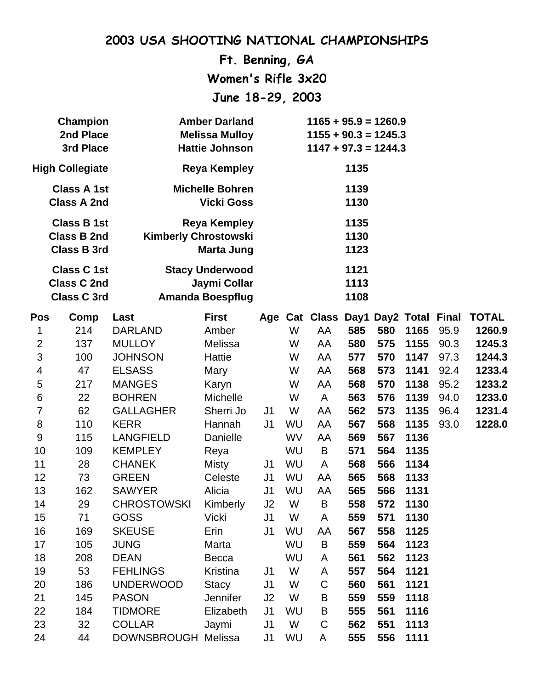**Ft. Benning, GA Women's Rifle 3x20 June 18-29, 2003**

| <b>Champion</b>        | <b>Amber Darland</b>        | $1165 + 95.9 = 1260.9$ |
|------------------------|-----------------------------|------------------------|
| 2nd Place              | <b>Melissa Mulloy</b>       | $1155 + 90.3 = 1245.3$ |
| 3rd Place              | <b>Hattie Johnson</b>       | $1147 + 97.3 = 1244.3$ |
| <b>High Collegiate</b> | Reya Kempley                | 1135                   |
| <b>Class A 1st</b>     | <b>Michelle Bohren</b>      | 1139                   |
| <b>Class A 2nd</b>     | <b>Vicki Goss</b>           | 1130                   |
| <b>Class B 1st</b>     | Reya Kempley                | 1135                   |
| <b>Class B 2nd</b>     | <b>Kimberly Chrostowski</b> | 1130                   |
| <b>Class B 3rd</b>     | Marta Jung                  | 1123                   |
| <b>Class C 1st</b>     | <b>Stacy Underwood</b>      | 1121                   |
| <b>Class C 2nd</b>     | Jaymi Collar                | 1113                   |
| <b>Class C 3rd</b>     | <b>Amanda Boespflug</b>     | 1108                   |

| Pos            | Comp | Last                | <b>First</b>    |                |    | Age Cat Class Day1 Day2 Total Final |     |     |      |      | <b>TOTAL</b> |
|----------------|------|---------------------|-----------------|----------------|----|-------------------------------------|-----|-----|------|------|--------------|
| 1              | 214  | <b>DARLAND</b>      | Amber           |                | W  | AA                                  | 585 | 580 | 1165 | 95.9 | 1260.9       |
| $\overline{2}$ | 137  | <b>MULLOY</b>       | Melissa         |                | W  | AA                                  | 580 | 575 | 1155 | 90.3 | 1245.3       |
| 3              | 100  | <b>JOHNSON</b>      | Hattie          |                | W  | AA                                  | 577 | 570 | 1147 | 97.3 | 1244.3       |
| 4              | 47   | <b>ELSASS</b>       | Mary            |                | W  | AA                                  | 568 | 573 | 1141 | 92.4 | 1233.4       |
| 5              | 217  | <b>MANGES</b>       | Karyn           |                | W  | AA                                  | 568 | 570 | 1138 | 95.2 | 1233.2       |
| $\,6$          | 22   | <b>BOHREN</b>       | <b>Michelle</b> |                | W  | A                                   | 563 | 576 | 1139 | 94.0 | 1233.0       |
| $\overline{7}$ | 62   | <b>GALLAGHER</b>    | Sherri Jo       | J <sub>1</sub> | W  | AA                                  | 562 | 573 | 1135 | 96.4 | 1231.4       |
| 8              | 110  | <b>KERR</b>         | Hannah          | J <sub>1</sub> | WU | AA                                  | 567 | 568 | 1135 | 93.0 | 1228.0       |
| $9\,$          | 115  | <b>LANGFIELD</b>    | Danielle        |                | WV | AA                                  | 569 | 567 | 1136 |      |              |
| 10             | 109  | <b>KEMPLEY</b>      | Reya            |                | WU | B                                   | 571 | 564 | 1135 |      |              |
| 11             | 28   | <b>CHANEK</b>       | <b>Misty</b>    | J1             | WU | A                                   | 568 | 566 | 1134 |      |              |
| 12             | 73   | <b>GREEN</b>        | Celeste         | J <sub>1</sub> | WU | AA                                  | 565 | 568 | 1133 |      |              |
| 13             | 162  | <b>SAWYER</b>       | Alicia          | J <sub>1</sub> | WU | AA                                  | 565 | 566 | 1131 |      |              |
| 14             | 29   | <b>CHROSTOWSKI</b>  | Kimberly        | J2             | W  | B                                   | 558 | 572 | 1130 |      |              |
| 15             | 71   | <b>GOSS</b>         | <b>Vicki</b>    | J <sub>1</sub> | W  | A                                   | 559 | 571 | 1130 |      |              |
| 16             | 169  | <b>SKEUSE</b>       | Erin            | J <sub>1</sub> | WU | AA                                  | 567 | 558 | 1125 |      |              |
| 17             | 105  | <b>JUNG</b>         | Marta           |                | WU | B                                   | 559 | 564 | 1123 |      |              |
| 18             | 208  | <b>DEAN</b>         | Becca           |                | WU | A                                   | 561 | 562 | 1123 |      |              |
| 19             | 53   | <b>FEHLINGS</b>     | Kristina        | J <sub>1</sub> | W  | A                                   | 557 | 564 | 1121 |      |              |
| 20             | 186  | <b>UNDERWOOD</b>    | <b>Stacy</b>    | J <sub>1</sub> | W  | C                                   | 560 | 561 | 1121 |      |              |
| 21             | 145  | <b>PASON</b>        | <b>Jennifer</b> | J2             | W  | B                                   | 559 | 559 | 1118 |      |              |
| 22             | 184  | <b>TIDMORE</b>      | Elizabeth       | J <sub>1</sub> | WU | $\sf B$                             | 555 | 561 | 1116 |      |              |
| 23             | 32   | <b>COLLAR</b>       | Jaymi           | J <sub>1</sub> | W  | $\mathsf C$                         | 562 | 551 | 1113 |      |              |
| 24             | 44   | DOWNSBROUGH Melissa |                 | J <sub>1</sub> | WU | A                                   | 555 | 556 | 1111 |      |              |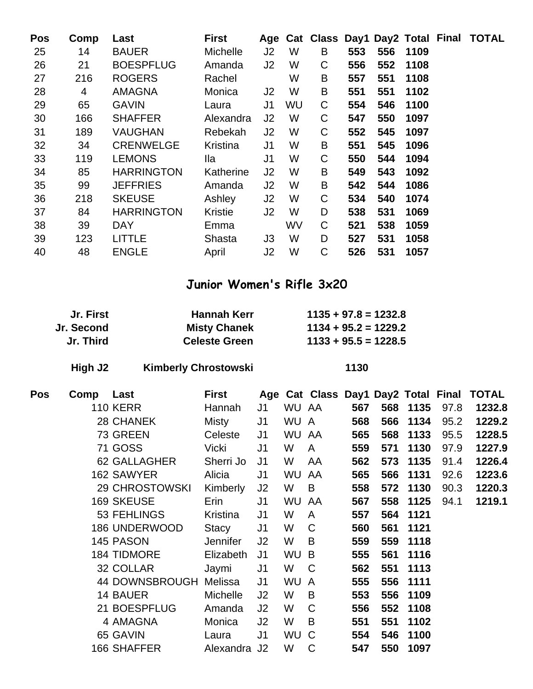| Pos | Comp | Last              | <b>First</b>    |                |    |   |     |     |      | Age Cat Class Day1 Day2 Total Final TOTAL |
|-----|------|-------------------|-----------------|----------------|----|---|-----|-----|------|-------------------------------------------|
| 25  | 14   | <b>BAUER</b>      | <b>Michelle</b> | J <sub>2</sub> | W  | B | 553 | 556 | 1109 |                                           |
| 26  | 21   | <b>BOESPFLUG</b>  | Amanda          | J <sub>2</sub> | W  | C | 556 | 552 | 1108 |                                           |
| 27  | 216  | <b>ROGERS</b>     | Rachel          |                | W  | B | 557 | 551 | 1108 |                                           |
| 28  | 4    | <b>AMAGNA</b>     | Monica          | J <sub>2</sub> | W  | B | 551 | 551 | 1102 |                                           |
| 29  | 65   | <b>GAVIN</b>      | Laura           | J <sub>1</sub> | WU | C | 554 | 546 | 1100 |                                           |
| 30  | 166  | <b>SHAFFER</b>    | Alexandra       | J <sub>2</sub> | W  | C | 547 | 550 | 1097 |                                           |
| 31  | 189  | <b>VAUGHAN</b>    | Rebekah         | J <sub>2</sub> | W  | C | 552 | 545 | 1097 |                                           |
| 32  | 34   | <b>CRENWELGE</b>  | Kristina        | J <sub>1</sub> | W  | B | 551 | 545 | 1096 |                                           |
| 33  | 119  | <b>LEMONS</b>     | lla             | J <sub>1</sub> | W  | C | 550 | 544 | 1094 |                                           |
| 34  | 85   | <b>HARRINGTON</b> | Katherine       | J <sub>2</sub> | W  | B | 549 | 543 | 1092 |                                           |
| 35  | 99   | <b>JEFFRIES</b>   | Amanda          | J <sub>2</sub> | W  | B | 542 | 544 | 1086 |                                           |
| 36  | 218  | <b>SKEUSE</b>     | Ashley          | J <sub>2</sub> | W  | C | 534 | 540 | 1074 |                                           |
| 37  | 84   | <b>HARRINGTON</b> | Kristie         | J <sub>2</sub> | W  | D | 538 | 531 | 1069 |                                           |
| 38  | 39   | <b>DAY</b>        | Emma            |                | WV | C | 521 | 538 | 1059 |                                           |
| 39  | 123  | <b>LITTLE</b>     | Shasta          | J <sub>3</sub> | W  | D | 527 | 531 | 1058 |                                           |
| 40  | 48   | <b>ENGLE</b>      | April           | J <sub>2</sub> | W  | C | 526 | 531 | 1057 |                                           |

### **Junior Women's Rifle 3x20**

| Jr. First  | <b>Hannah Kerr</b>   | $1135 + 97.8 = 1232.8$ |
|------------|----------------------|------------------------|
| Jr. Second | <b>Misty Chanek</b>  | $1134 + 95.2 = 1229.2$ |
| Jr. Third  | <b>Celeste Green</b> | $1133 + 95.5 = 1228.5$ |

**High J2 Kimberly Chrostowski 1130**

| Pos | Comp | Last                  | <b>First</b>    |                |           |                |     |     |          |      | Age Cat Class Day1 Day2 Total Final TOTAL |
|-----|------|-----------------------|-----------------|----------------|-----------|----------------|-----|-----|----------|------|-------------------------------------------|
|     |      | <b>110 KERR</b>       | Hannah          | J <sub>1</sub> | WU AA     |                | 567 |     | 568 1135 | 97.8 | 1232.8                                    |
|     |      | 28 CHANEK             | Misty           | J <sub>1</sub> | WU A      |                | 568 | 566 | 1134     | 95.2 | 1229.2                                    |
|     |      | 73 GREEN              | Celeste         | J <sub>1</sub> | <b>WU</b> | AA             | 565 | 568 | 1133     | 95.5 | 1228.5                                    |
|     |      | <b>71 GOSS</b>        | Vicki           | J <sub>1</sub> | W         | A              | 559 | 571 | 1130     | 97.9 | 1227.9                                    |
|     |      | 62 GALLAGHER          | Sherri Jo       | J <sub>1</sub> | W         | AA             | 562 | 573 | 1135     | 91.4 | 1226.4                                    |
|     |      | 162 SAWYER            | Alicia          | J <sub>1</sub> | WU        | AA             | 565 | 566 | 1131     | 92.6 | 1223.6                                    |
|     |      | <b>29 CHROSTOWSKI</b> | Kimberly        | J2             | W         | B              | 558 | 572 | 1130     | 90.3 | 1220.3                                    |
|     |      | <b>169 SKEUSE</b>     | Erin            | J <sub>1</sub> | <b>WU</b> | AA             | 567 | 558 | 1125     | 94.1 | 1219.1                                    |
|     |      | 53 FEHLINGS           | Kristina        | J <sub>1</sub> | W         | A              | 557 | 564 | 1121     |      |                                           |
|     |      | <b>186 UNDERWOOD</b>  | Stacy           | J <sub>1</sub> | W         | $\mathsf C$    | 560 | 561 | 1121     |      |                                           |
|     |      | 145 PASON             | <b>Jennifer</b> | J <sub>2</sub> | W         | B              | 559 | 559 | 1118     |      |                                           |
|     |      | <b>184 TIDMORE</b>    | Elizabeth       | J <sub>1</sub> | <b>WU</b> | B              | 555 | 561 | 1116     |      |                                           |
|     |      | 32 COLLAR             | Jaymi           | J <sub>1</sub> | W         | C              | 562 | 551 | 1113     |      |                                           |
|     |      | 44 DOWNSBROUGH        | Melissa         | J <sub>1</sub> | <b>WU</b> | $\overline{A}$ | 555 | 556 | 1111     |      |                                           |
|     |      | 14 BAUER              | Michelle        | J <sub>2</sub> | W         | B              | 553 | 556 | 1109     |      |                                           |
|     |      | 21 BOESPFLUG          | Amanda          | J2             | W         | C              | 556 | 552 | 1108     |      |                                           |
|     |      | 4 AMAGNA              | Monica          | J <sub>2</sub> | W         | B              | 551 | 551 | 1102     |      |                                           |
|     |      | 65 GAVIN              | Laura           | J1             | WU C      |                | 554 | 546 | 1100     |      |                                           |
|     |      | 166 SHAFFER           | Alexandra J2    |                | W         | C              | 547 | 550 | 1097     |      |                                           |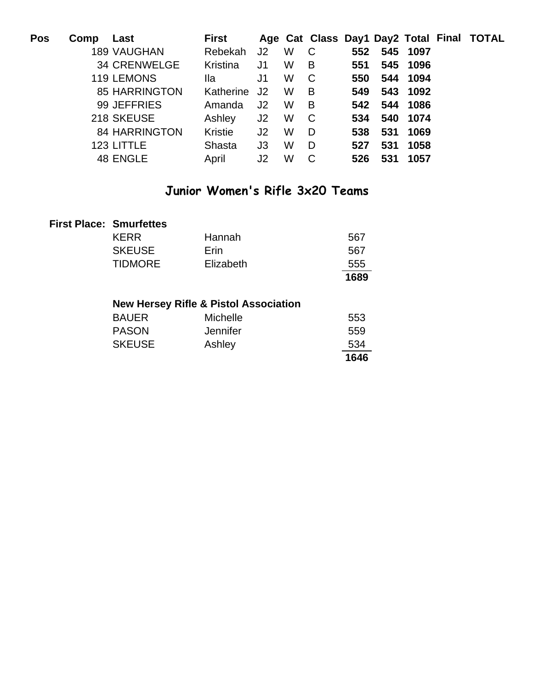| Pos | Comp | Last                 | <b>First</b> |                |   |                |     |              |          | Age Cat Class Day1 Day2 Total Final TOTAL |
|-----|------|----------------------|--------------|----------------|---|----------------|-----|--------------|----------|-------------------------------------------|
|     |      | <b>189 VAUGHAN</b>   | Rebekah      | J <sub>2</sub> | W | C              | 552 |              | 545 1097 |                                           |
|     |      | 34 CRENWELGE         | Kristina     | J <sub>1</sub> | W | $\overline{B}$ | 551 |              | 545 1096 |                                           |
|     |      | 119 LEMONS           | lla          | J1             | W | C              | 550 |              | 544 1094 |                                           |
|     |      | <b>85 HARRINGTON</b> | Katherine    | J2             | W | B              | 549 |              | 543 1092 |                                           |
|     |      | 99 JEFFRIES          | Amanda       | J <sub>2</sub> | W | B              |     | 542 544 1086 |          |                                           |
|     |      | 218 SKEUSE           | Ashley       | J2             | W | $\mathbf{C}$   | 534 |              | 540 1074 |                                           |
|     |      | <b>84 HARRINGTON</b> | Kristie      | J <sub>2</sub> | W | D              | 538 |              | 531 1069 |                                           |
|     |      | 123 LITTLE           | Shasta       | J3             | W | D              | 527 | 531          | 1058     |                                           |
|     |      | 48 ENGLE             | April        | J2             | W | C              | 526 | 531          | 1057     |                                           |

### **Junior Women's Rifle 3x20 Teams**

| <b>First Place: Smurfettes</b> |             |
|--------------------------------|-------------|
|                                | <b>KEDD</b> |

|                |             | 1689 |
|----------------|-------------|------|
| <b>TIDMORE</b> | Elizabeth   | 555  |
| <b>SKEUSE</b>  | <b>Frin</b> | 567  |
| KERR           | Hannah      | 567  |

### **New Hersey Rifle & Pistol Association**

|               |                 | 1646 |
|---------------|-----------------|------|
| <b>SKEUSE</b> | Ashley          | 534  |
| <b>PASON</b>  | Jennifer        | 559  |
| <b>BAUER</b>  | <b>Michelle</b> | 553  |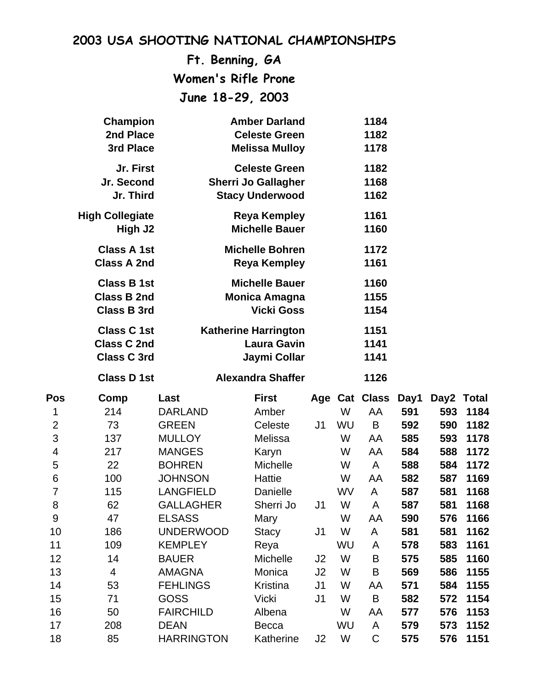# **Ft. Benning, GA Women's Rifle Prone June 18-29, 2003**

|                | Champion               |                   | <b>Amber Darland</b>                          |                |    | 1184          |      |            |      |
|----------------|------------------------|-------------------|-----------------------------------------------|----------------|----|---------------|------|------------|------|
|                | 2nd Place<br>3rd Place |                   | <b>Celeste Green</b><br><b>Melissa Mulloy</b> |                |    | 1182<br>1178  |      |            |      |
|                |                        |                   |                                               |                |    |               |      |            |      |
|                | Jr. First              |                   | <b>Celeste Green</b>                          |                |    | 1182          |      |            |      |
|                | Jr. Second             |                   | <b>Sherri Jo Gallagher</b>                    |                |    | 1168          |      |            |      |
|                | Jr. Third              |                   | <b>Stacy Underwood</b>                        |                |    | 1162          |      |            |      |
|                | <b>High Collegiate</b> |                   | <b>Reya Kempley</b>                           |                |    | 1161          |      |            |      |
|                | High J2                |                   | <b>Michelle Bauer</b>                         |                |    | 1160          |      |            |      |
|                | <b>Class A 1st</b>     |                   | <b>Michelle Bohren</b>                        |                |    | 1172          |      |            |      |
|                | <b>Class A 2nd</b>     |                   | <b>Reya Kempley</b>                           |                |    | 1161          |      |            |      |
|                | <b>Class B 1st</b>     |                   | <b>Michelle Bauer</b>                         |                |    | 1160          |      |            |      |
|                | <b>Class B 2nd</b>     |                   | <b>Monica Amagna</b>                          |                |    | 1155          |      |            |      |
|                | <b>Class B 3rd</b>     |                   | <b>Vicki Goss</b>                             |                |    | 1154          |      |            |      |
|                | <b>Class C 1st</b>     |                   | <b>Katherine Harrington</b>                   |                |    | 1151          |      |            |      |
|                | <b>Class C 2nd</b>     |                   | <b>Laura Gavin</b>                            |                |    | 1141          |      |            |      |
|                | <b>Class C 3rd</b>     |                   | Jaymi Collar                                  |                |    | 1141          |      |            |      |
|                | <b>Class D 1st</b>     |                   | <b>Alexandra Shaffer</b>                      |                |    | 1126          |      |            |      |
|                |                        |                   |                                               |                |    |               |      |            |      |
| Pos            | Comp                   | Last              | <b>First</b>                                  |                |    | Age Cat Class | Day1 | Day2 Total |      |
| 1              | 214                    | <b>DARLAND</b>    | Amber                                         |                | W  | AA            | 591  | 593        | 1184 |
| $\overline{2}$ | 73                     | <b>GREEN</b>      | Celeste                                       | J1             | WU | B             | 592  | 590        | 1182 |
| 3              | 137                    | <b>MULLOY</b>     | Melissa                                       |                | W  | AA            | 585  | 593        | 1178 |
| 4              | 217                    | <b>MANGES</b>     | Karyn                                         |                | W  | AA            | 584  | 588        | 1172 |
| 5              | 22                     | <b>BOHREN</b>     | Michelle                                      |                | W  | A             | 588  | 584        | 1172 |
| 6              | 100                    | <b>JOHNSON</b>    | <b>Hattie</b>                                 |                | W  | AA            | 582  | 587        | 1169 |
| $\overline{7}$ | 115                    | <b>LANGFIELD</b>  | Danielle                                      |                | WV | A             | 587  | 581        | 1168 |
| 8              | 62                     | <b>GALLAGHER</b>  | Sherri Jo                                     | J1             | W  | A             | 587  | 581        | 1168 |
| 9              | 47                     | <b>ELSASS</b>     | Mary                                          |                | W  | AA            | 590  | 576        | 1166 |
| 10             | 186                    | <b>UNDERWOOD</b>  | <b>Stacy</b>                                  | J <sub>1</sub> | W  | A             | 581  | 581        | 1162 |
| 11             | 109                    | <b>KEMPLEY</b>    | Reya                                          |                | WU | A             | 578  | 583        | 1161 |
| 12             | 14                     | <b>BAUER</b>      | Michelle                                      | J <sub>2</sub> | W  | B             | 575  | 585        | 1160 |
| 13             | 4                      | <b>AMAGNA</b>     | Monica                                        | J2             | W  | B             | 569  | 586        | 1155 |
| 14             | 53                     | <b>FEHLINGS</b>   | Kristina                                      | J <sub>1</sub> | W  | AA            | 571  | 584        | 1155 |
| 15             | 71                     | <b>GOSS</b>       | <b>Vicki</b>                                  | J1             | W  | B             | 582  | 572        | 1154 |
| 16             | 50                     | <b>FAIRCHILD</b>  | Albena                                        |                | W  | AA            | 577  | 576        | 1153 |
| 17             | 208                    | <b>DEAN</b>       | <b>Becca</b>                                  |                | WU | A             | 579  | 573        | 1152 |
| 18             | 85                     | <b>HARRINGTON</b> | Katherine                                     | J2             | W  | $\mathsf C$   | 575  | 576        | 1151 |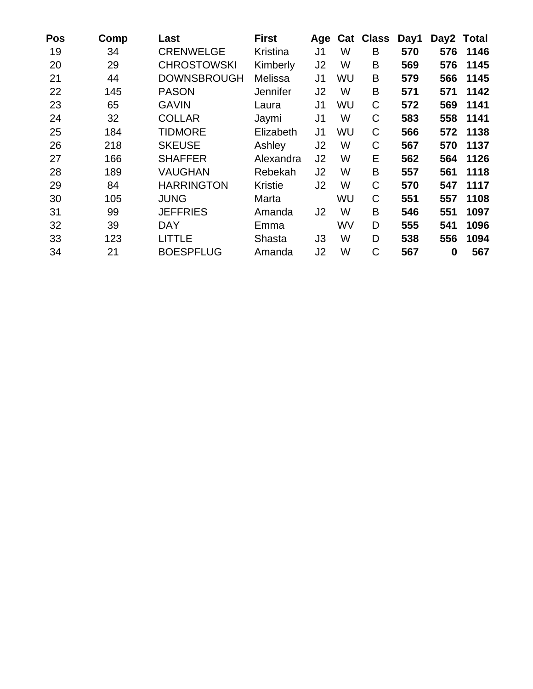| Pos | Comp | Last               | <b>First</b>    | Age            |    | <b>Cat Class</b> | Day1 | Day2 Total |      |
|-----|------|--------------------|-----------------|----------------|----|------------------|------|------------|------|
| 19  | 34   | <b>CRENWELGE</b>   | Kristina        | J1             | W  | B                | 570  | 576        | 1146 |
| 20  | 29   | <b>CHROSTOWSKI</b> | Kimberly        | J2             | W  | B                | 569  | 576        | 1145 |
| 21  | 44   | <b>DOWNSBROUGH</b> | Melissa         | J <sub>1</sub> | WU | B                | 579  | 566        | 1145 |
| 22  | 145  | <b>PASON</b>       | <b>Jennifer</b> | J2             | W  | B                | 571  | 571        | 1142 |
| 23  | 65   | <b>GAVIN</b>       | Laura           | J <sub>1</sub> | WU | C                | 572  | 569        | 1141 |
| 24  | 32   | <b>COLLAR</b>      | Jaymi           | J <sub>1</sub> | W  | C                | 583  | 558        | 1141 |
| 25  | 184  | <b>TIDMORE</b>     | Elizabeth       | J1             | WU | $\mathsf{C}$     | 566  | 572        | 1138 |
| 26  | 218  | <b>SKEUSE</b>      | Ashley          | J <sub>2</sub> | W  | C                | 567  | 570        | 1137 |
| 27  | 166  | <b>SHAFFER</b>     | Alexandra       | J <sub>2</sub> | W  | E                | 562  | 564        | 1126 |
| 28  | 189  | <b>VAUGHAN</b>     | Rebekah         | J <sub>2</sub> | W  | B                | 557  | 561        | 1118 |
| 29  | 84   | <b>HARRINGTON</b>  | <b>Kristie</b>  | J <sub>2</sub> | W  | C                | 570  | 547        | 1117 |
| 30  | 105  | JUNG               | Marta           |                | WU | $\mathsf{C}$     | 551  | 557        | 1108 |
| 31  | 99   | <b>JEFFRIES</b>    | Amanda          | J2             | W  | B                | 546  | 551        | 1097 |
| 32  | 39   | DAY                | Emma            |                | WV | D                | 555  | 541        | 1096 |
| 33  | 123  | LITTLE             | Shasta          | J3             | W  | D                | 538  | 556        | 1094 |
| 34  | 21   | <b>BOESPFLUG</b>   | Amanda          | J2             | W  | C                | 567  | $\bf{0}$   | 567  |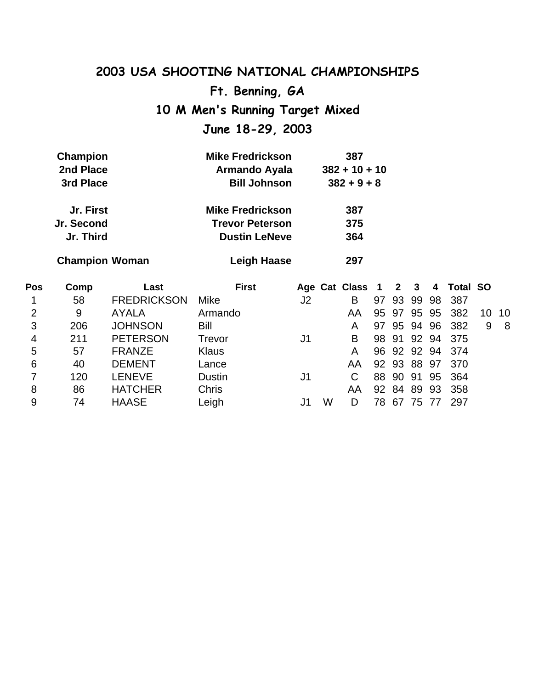**Ft. Benning, GA**

**10 M Men's Running Target Mixed**

**June 18-29, 2003**

| $382 + 10 + 10$ |
|-----------------|
|                 |
| $382 + 9 + 8$   |
| 387             |
| 375             |
| 364             |
|                 |

**Champion Woman Leigh Haase 297**

| Pos | Comp | Last               | <b>First</b>  |    |   | Age Cat Class 1 2 3 |    |    |          |    | 4 Total SO      |       |     |
|-----|------|--------------------|---------------|----|---|---------------------|----|----|----------|----|-----------------|-------|-----|
| 1   | 58   | <b>FREDRICKSON</b> | Mike          | J2 |   | B                   | 97 | 93 | 99       |    | 98 387          |       |     |
| 2   | 9    | <b>AYALA</b>       | Armando       |    |   | AA                  | 95 | 97 | 95       | 95 | 382             | 10 10 |     |
| 3   | 206  | <b>JOHNSON</b>     | Bill          |    |   | A                   | 97 |    | 95 94    | 96 | 382             | 9     | - 8 |
| 4   | 211  | <b>PETERSON</b>    | Trevor        | J1 |   | B                   | 98 |    |          |    | 91 92 94 375    |       |     |
| 5   | 57   | <b>FRANZE</b>      | <b>Klaus</b>  |    |   | A                   |    |    |          |    | 96 92 92 94 374 |       |     |
| 6   | 40   | <b>DEMENT</b>      | Lance         |    |   | AA                  |    |    |          |    | 92 93 88 97 370 |       |     |
|     | 120  | <b>LENEVE</b>      | <b>Dustin</b> | J1 |   |                     | 88 | 90 | 91       | 95 | 364             |       |     |
| 8   | 86   | <b>HATCHER</b>     | <b>Chris</b>  |    |   | AA                  |    |    | 92 84 89 | 93 | 358             |       |     |
| 9   | 74   | <b>HAASE</b>       | Leigh         |    | W | D                   | 78 | 67 | 75       |    | 297             |       |     |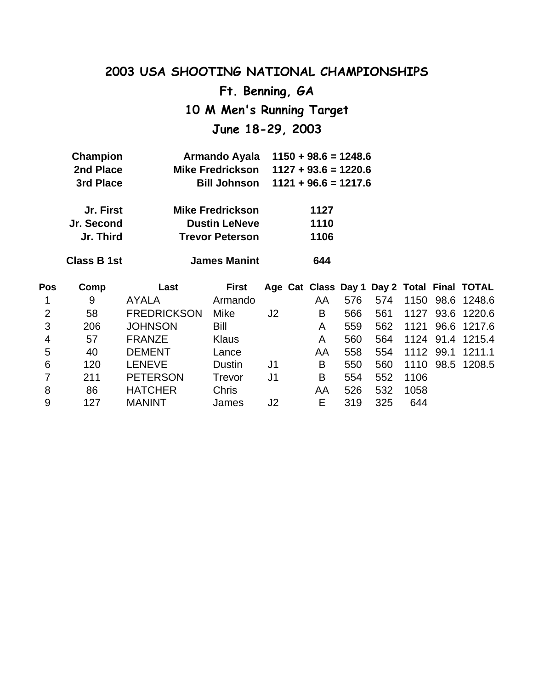**Ft. Benning, GA**

**10 M Men's Running Target**

**June 18-29, 2003**

| <b>Champion</b>    | <b>Armando Ayala</b>    | $1150 + 98.6 = 1248.6$ |
|--------------------|-------------------------|------------------------|
| 2nd Place          | <b>Mike Fredrickson</b> | $1127 + 93.6 = 1220.6$ |
| 3rd Place          | <b>Bill Johnson</b>     | $1121 + 96.6 = 1217.6$ |
| Jr. First          | <b>Mike Fredrickson</b> | 1127                   |
| Jr. Second         | <b>Dustin LeNeve</b>    | 1110                   |
| Jr. Third          | <b>Trevor Peterson</b>  | 1106                   |
| <b>Class B 1st</b> | <b>James Manint</b>     | 644                    |

| Pos | Comp | Last               | <b>First</b>  |                |    |     |     |      |      | Age Cat Class Day 1 Day 2 Total Final TOTAL |
|-----|------|--------------------|---------------|----------------|----|-----|-----|------|------|---------------------------------------------|
|     | 9    | <b>AYALA</b>       | Armando       |                | AA | 576 | 574 |      |      | 1150 98.6 1248.6                            |
| 2   | 58   | <b>FREDRICKSON</b> | Mike          | J <sub>2</sub> | B  | 566 | 561 | 1127 |      | 93.6 1220.6                                 |
| 3   | 206  | <b>JOHNSON</b>     | Bill          |                | A  | 559 | 562 |      |      | 1121 96.6 1217.6                            |
| 4   | 57   | <b>FRANZE</b>      | <b>Klaus</b>  |                | Α  | 560 | 564 |      |      | 1124 91.4 1215.4                            |
| 5   | 40   | <b>DEMENT</b>      | Lance         |                | AA | 558 | 554 | 1112 | 99.1 | 1211.1                                      |
| 6   | 120  | <b>LENEVE</b>      | <b>Dustin</b> | J1             | B  | 550 | 560 | 1110 |      | 98.5 1208.5                                 |
|     | 211  | <b>PETERSON</b>    | Trevor        | J1             | B  | 554 | 552 | 1106 |      |                                             |
| 8   | 86   | <b>HATCHER</b>     | <b>Chris</b>  |                | AA | 526 | 532 | 1058 |      |                                             |
| 9   | 127  | <b>MANINT</b>      | James         | J2             | Е  | 319 | 325 | 644  |      |                                             |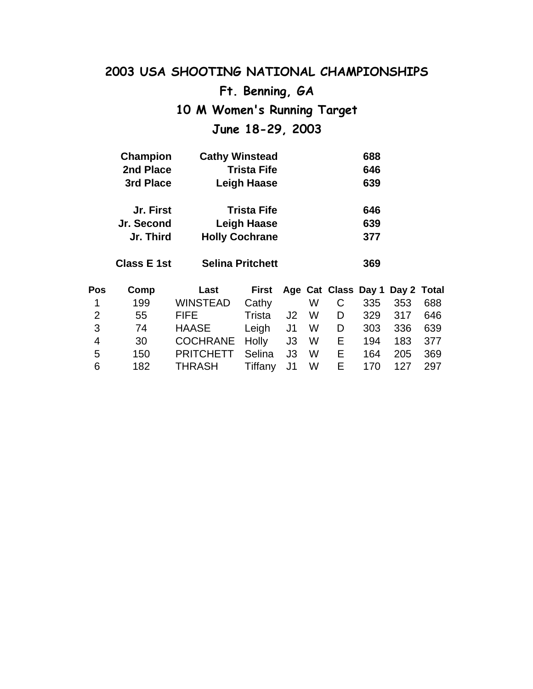# **2003 USA SHOOTING NATIONAL CHAMPIONSHIPS Ft. Benning, GA 10 M Women's Running Target**

# **June 18-29, 2003**

| <b>Champion</b> | <b>Cathy Winstead</b> | 688 |
|-----------------|-----------------------|-----|
| 2nd Place       | <b>Trista Fife</b>    | 646 |
| 3rd Place       | <b>Leigh Haase</b>    | 639 |
| Jr. First       | <b>Trista Fife</b>    | 646 |
| Jr. Second      | <b>Leigh Haase</b>    | 639 |
| Jr. Third       | <b>Holly Cochrane</b> | 377 |

**Class E 1st Selina Pritchett 369**

| Pos            | Comp | Last                  |            |    |     |    |       | First Age Cat Class Day 1 Day 2 Total |     |
|----------------|------|-----------------------|------------|----|-----|----|-------|---------------------------------------|-----|
| $\overline{1}$ | 199  | <b>WINSTEAD</b>       | Cathy      |    | W l | C. | 335   | 353                                   | 688 |
| 2              | 55   | <b>FIFE</b>           | Trista     | J2 | W   | D  |       | 329 317                               | 646 |
| 3              | 74   | HAASE                 | Leigh J1 W |    |     |    | D 303 | 336                                   | 639 |
| $\overline{4}$ | 30   | COCHRANE Holly J3 W E |            |    |     |    | 194   | 183                                   | 377 |
| 5              | 150  | <b>PRITCHETT</b>      | Selina     | J3 | W · | E. | 164   | 205                                   | 369 |
| 6              | 182  | THRASH Tiffany J1     |            |    | W l | E  | 170   | 127                                   | 297 |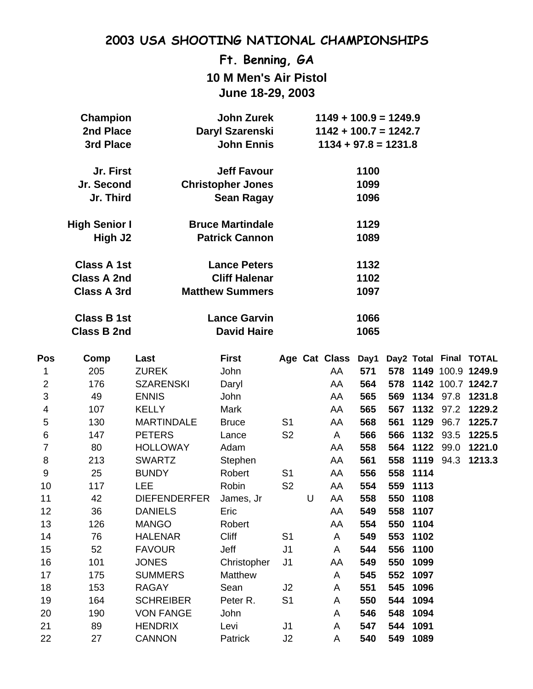### **Ft. Benning, GA 10 M Men's Air Pistol June 18-29, 2003**

| <b>Champion</b>     | <b>John Zurek</b>        | $1149 + 100.9 = 1249.9$ |
|---------------------|--------------------------|-------------------------|
| 2nd Place           | Daryl Szarenski          | $1142 + 100.7 = 1242.7$ |
| 3rd Place           | <b>John Ennis</b>        | $1134 + 97.8 = 1231.8$  |
| Jr. First           | <b>Jeff Favour</b>       | 1100                    |
| Jr. Second          | <b>Christopher Jones</b> | 1099                    |
| Jr. Third           | Sean Ragay               | 1096                    |
| High Senior I       | <b>Bruce Martindale</b>  | 1129                    |
| High J <sub>2</sub> | <b>Patrick Cannon</b>    | 1089                    |
| Class A 1st         | <b>Lance Peters</b>      | 1132                    |
| <b>Class A 2nd</b>  | <b>Cliff Halenar</b>     | 1102                    |
| <b>Class A 3rd</b>  | <b>Matthew Summers</b>   | 1097                    |
| <b>Class B 1st</b>  | <b>Lance Garvin</b>      | 1066                    |
| <b>Class B 2nd</b>  | <b>David Haire</b>       | 1065                    |
|                     |                          |                         |

| Pos            | Comp | Last                | <b>First</b> |                |   | Age Cat Class | Day1 |     |      |           | Day2 Total Final TOTAL |
|----------------|------|---------------------|--------------|----------------|---|---------------|------|-----|------|-----------|------------------------|
| 1              | 205  | <b>ZUREK</b>        | John         |                |   | AA            | 571  |     |      |           | 578 1149 100.9 1249.9  |
| $\overline{2}$ | 176  | <b>SZARENSKI</b>    | Daryl        |                |   | AA            | 564  | 578 |      |           | 1142 100.7 1242.7      |
| 3              | 49   | <b>ENNIS</b>        | John         |                |   | AA            | 565  | 569 | 1134 | 97.8      | 1231.8                 |
| 4              | 107  | <b>KELLY</b>        | Mark         |                |   | AA            | 565  | 567 |      | 1132 97.2 | 1229.2                 |
| 5              | 130  | <b>MARTINDALE</b>   | <b>Bruce</b> | S <sub>1</sub> |   | AA            | 568  | 561 | 1129 | 96.7      | 1225.7                 |
| 6              | 147  | <b>PETERS</b>       | Lance        | S <sub>2</sub> |   | A             | 566  | 566 | 1132 | 93.5      | 1225.5                 |
| 7              | 80   | <b>HOLLOWAY</b>     | Adam         |                |   | AA            | 558  | 564 | 1122 | 99.0      | 1221.0                 |
| 8              | 213  | <b>SWARTZ</b>       | Stephen      |                |   | AA            | 561  | 558 |      |           | 1119 94.3 1213.3       |
| 9              | 25   | <b>BUNDY</b>        | Robert       | S <sub>1</sub> |   | AA            | 556  | 558 | 1114 |           |                        |
| 10             | 117  | <b>LEE</b>          | Robin        | S <sub>2</sub> |   | AA            | 554  | 559 | 1113 |           |                        |
| 11             | 42   | <b>DIEFENDERFER</b> | James, Jr    |                | U | AA            | 558  | 550 | 1108 |           |                        |
| 12             | 36   | <b>DANIELS</b>      | Eric         |                |   | AA            | 549  | 558 | 1107 |           |                        |
| 13             | 126  | <b>MANGO</b>        | Robert       |                |   | AA            | 554  | 550 | 1104 |           |                        |
| 14             | 76   | <b>HALENAR</b>      | <b>Cliff</b> | S <sub>1</sub> |   | A             | 549  | 553 | 1102 |           |                        |
| 15             | 52   | <b>FAVOUR</b>       | Jeff         | J <sub>1</sub> |   | A             | 544  | 556 | 1100 |           |                        |
| 16             | 101  | <b>JONES</b>        | Christopher  | J <sub>1</sub> |   | AA            | 549  | 550 | 1099 |           |                        |
| 17             | 175  | <b>SUMMERS</b>      | Matthew      |                |   | A             | 545  | 552 | 1097 |           |                        |
| 18             | 153  | <b>RAGAY</b>        | Sean         | J2             |   | A             | 551  | 545 | 1096 |           |                        |
| 19             | 164  | <b>SCHREIBER</b>    | Peter R.     | S <sub>1</sub> |   | A             | 550  | 544 | 1094 |           |                        |
| 20             | 190  | <b>VON FANGE</b>    | John         |                |   | A             | 546  | 548 | 1094 |           |                        |
| 21             | 89   | <b>HENDRIX</b>      | Levi         | J <sub>1</sub> |   | A             | 547  | 544 | 1091 |           |                        |
| 22             | 27   | <b>CANNON</b>       | Patrick      | J2             |   | A             | 540  | 549 | 1089 |           |                        |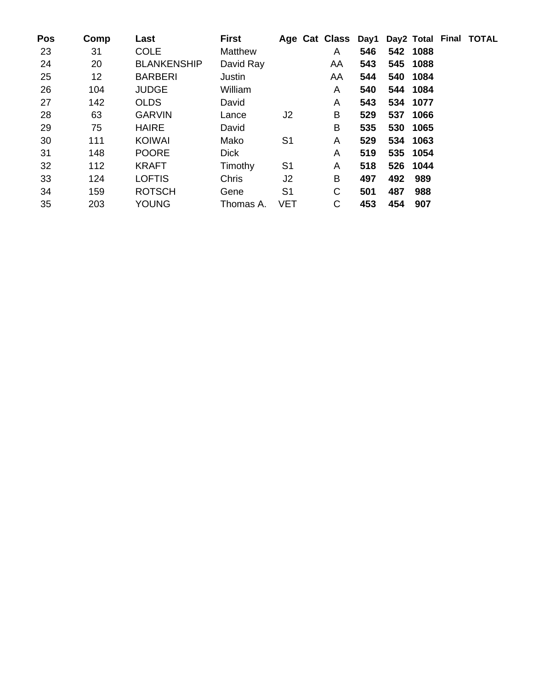| Pos | Comp              | Last               | <b>First</b> |                | Age Cat Class Day1 Day2 Total Final TOTAL |     |     |          |  |
|-----|-------------------|--------------------|--------------|----------------|-------------------------------------------|-----|-----|----------|--|
| 23  | 31                | <b>COLE</b>        | Matthew      |                | A                                         | 546 |     | 542 1088 |  |
| 24  | 20                | <b>BLANKENSHIP</b> | David Ray    |                | AA                                        | 543 |     | 545 1088 |  |
| 25  | $12 \overline{ }$ | <b>BARBERI</b>     | Justin       |                | AA                                        | 544 |     | 540 1084 |  |
| 26  | 104               | <b>JUDGE</b>       | William      |                | A                                         | 540 |     | 544 1084 |  |
| 27  | 142               | <b>OLDS</b>        | David        |                | A                                         | 543 |     | 534 1077 |  |
| 28  | 63                | <b>GARVIN</b>      | Lance        | J <sub>2</sub> | B                                         | 529 |     | 537 1066 |  |
| 29  | 75                | <b>HAIRE</b>       | David        |                | B                                         | 535 |     | 530 1065 |  |
| 30  | 111               | <b>KOIWAI</b>      | Mako         | S <sub>1</sub> | Α                                         | 529 |     | 534 1063 |  |
| 31  | 148               | <b>POORE</b>       | <b>Dick</b>  |                | Α                                         | 519 |     | 535 1054 |  |
| 32  | 112               | <b>KRAFT</b>       | Timothy      | S <sub>1</sub> | Α                                         | 518 |     | 526 1044 |  |
| 33  | 124               | <b>LOFTIS</b>      | <b>Chris</b> | J2             | B                                         | 497 | 492 | 989      |  |
| 34  | 159               | <b>ROTSCH</b>      | Gene         | S <sub>1</sub> | C                                         | 501 | 487 | 988      |  |
| 35  | 203               | <b>YOUNG</b>       | Thomas A.    | <b>VET</b>     | C                                         | 453 | 454 | 907      |  |